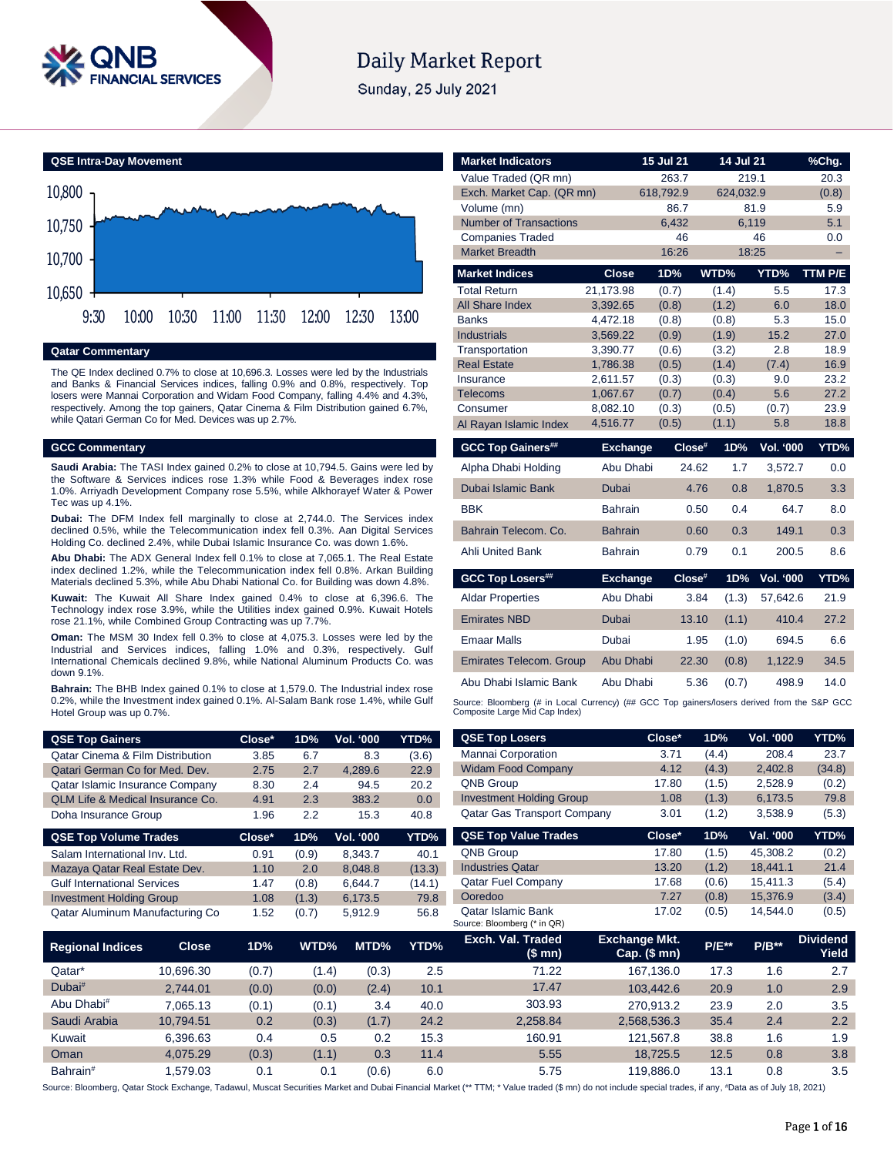

# **Daily Market Report**

Sunday, 25 July 2021



### **Qatar Commentary**

The QE Index declined 0.7% to close at 10,696.3. Losses were led by the Industrials and Banks & Financial Services indices, falling 0.9% and 0.8%, respectively. Top losers were Mannai Corporation and Widam Food Company, falling 4.4% and 4.3%, respectively. Among the top gainers, Qatar Cinema & Film Distribution gained 6.7%, while Qatari German Co for Med. Devices was up 2.7%.

### **GCC Commentary**

**Saudi Arabia:** The TASI Index gained 0.2% to close at 10,794.5. Gains were led by the Software & Services indices rose 1.3% while Food & Beverages index rose 1.0%. Arriyadh Development Company rose 5.5%, while Alkhorayef Water & Power Tec was up 4.1%.

**Dubai:** The DFM Index fell marginally to close at 2,744.0. The Services index declined 0.5%, while the Telecommunication index fell 0.3%. Aan Digital Services Holding Co. declined 2.4%, while Dubai Islamic Insurance Co. was down 1.6%.

**Abu Dhabi:** The ADX General Index fell 0.1% to close at 7,065.1. The Real Estate index declined 1.2%, while the Telecommunication index fell 0.8%. Arkan Building Materials declined 5.3%, while Abu Dhabi National Co. for Building was down 4.8%.

**Kuwait:** The Kuwait All Share Index gained 0.4% to close at 6,396.6. The Technology index rose 3.9%, while the Utilities index gained 0.9%. Kuwait Hotels rose 21.1%, while Combined Group Contracting was up 7.7%.

**Oman:** The MSM 30 Index fell 0.3% to close at 4,075.3. Losses were led by the Industrial and Services indices, falling 1.0% and 0.3%, respectively. Gulf International Chemicals declined 9.8%, while National Aluminum Products Co. was down 9.1%.

**Bahrain:** The BHB Index gained 0.1% to close at 1,579.0. The Industrial index rose 0.2%, while the Investment index gained 0.1%. Al-Salam Bank rose 1.4%, while Gulf Hotel Group was up 0.7%.

| <b>QSE Top Gainers</b>                      | Close* | 1D% | <b>Vol. '000</b> | YTD%  |
|---------------------------------------------|--------|-----|------------------|-------|
| <b>Qatar Cinema &amp; Film Distribution</b> | 3.85   | 6.7 | 8.3              | (3.6) |
| Qatari German Co for Med. Dev.              | 2.75   | 2.7 | 4.289.6          | 22.9  |
| Qatar Islamic Insurance Company             | 8.30   | 2.4 | 94.5             | 20.2  |
| <b>QLM Life &amp; Medical Insurance Co.</b> | 4.91   | 2.3 | 383.2            | 0.0   |
| Doha Insurance Group                        | 1.96   | 22  | 15.3             | 40.8  |

| <b>QSE Top Volume Trades</b>       | Close* | 1D%   | Vol. '000 | YTD%   |
|------------------------------------|--------|-------|-----------|--------|
| Salam International Inv. Ltd.      | 0.91   | (0.9) | 8,343.7   | 40.1   |
| Mazaya Qatar Real Estate Dev.      | 1.10   | 2.0   | 8.048.8   | (13.3) |
| <b>Gulf International Services</b> | 1.47   | (0.8) | 6.644.7   | (14.1) |
| <b>Investment Holding Group</b>    | 1.08   | (1.3) | 6,173.5   | 79.8   |
| Qatar Aluminum Manufacturing Co    | 1.52   | (0.7) | 5.912.9   | 56.8   |

| <b>Market Indicators</b>       |                      | 15 Jul 21      | 14 Jul 21      |                  | %Chq.        |
|--------------------------------|----------------------|----------------|----------------|------------------|--------------|
| Value Traded (QR mn)           |                      | 263.7          | 219.1          |                  | 20.3         |
| Exch. Market Cap. (QR mn)      |                      | 618,792.9      | 624,032.9      |                  | (0.8)        |
| Volume (mn)                    |                      | 86.7           | 81.9           |                  | 5.9          |
| <b>Number of Transactions</b>  |                      | 6,432          | 6,119          |                  | 5.1          |
| <b>Companies Traded</b>        |                      | 46             |                | 46               | 0.0          |
| <b>Market Breadth</b>          |                      | 16:26          | 18:25          |                  | ۳            |
| <b>Market Indices</b>          | <b>Close</b>         | 1D%            | WTD%           | YTD%             | TTM P/E      |
| <b>Total Return</b>            | 21,173.98            | (0.7)          | (1.4)          | 5.5              | 17.3         |
| All Share Index                | 3,392.65             | (0.8)          | (1.2)          | 6.0              | 18.0         |
| <b>Banks</b>                   | 4,472.18             | (0.8)          | (0.8)          | 5.3              | 15.0         |
| <b>Industrials</b>             | 3,569.22             | (0.9)          | (1.9)          | 15.2             | 27.0         |
| Transportation                 | 3,390.77             | (0.6)          | (3.2)          | 2.8              | 18.9         |
| <b>Real Estate</b>             | 1,786.38             | (0.5)          | (1.4)          | (7.4)            | 16.9         |
| Insurance                      | 2,611.57             | (0.3)          | (0.3)          | 9.0              | 23.2         |
| <b>Telecoms</b>                | 1,067.67             | (0.7)          | (0.4)          | 5.6              | 27.2         |
| Consumer                       | 8,082.10<br>4,516.77 | (0.3)<br>(0.5) | (0.5)<br>(1.1) | (0.7)<br>5.8     | 23.9<br>18.8 |
| Al Rayan Islamic Index         |                      |                |                |                  |              |
|                                |                      |                |                |                  |              |
| <b>GCC Top Gainers##</b>       | <b>Exchange</b>      | Close#         | 1D%            | Vol. '000        | YTD%         |
| Alpha Dhabi Holding            | Abu Dhabi            | 24.62          | 1.7            | 3,572.7          | 0.0          |
| Dubai Islamic Bank             | Dubai                | 4.76           | 0.8            | 1,870.5          | 3.3          |
| <b>BBK</b>                     | <b>Bahrain</b>       | 0.50           | 0.4            | 64.7             | 8.0          |
| Bahrain Telecom, Co.           | <b>Bahrain</b>       | 0.60           | 0.3            | 149.1            | 0.3          |
| <b>Ahli United Bank</b>        | <b>Bahrain</b>       | 0.79           | 0.1            | 200.5            | 8.6          |
| <b>GCC Top Losers##</b>        | <b>Exchange</b>      | Close#         | 1D%            | <b>Vol. '000</b> | YTD%         |
| <b>Aldar Properties</b>        | Abu Dhabi            | 3.84           | (1.3)          | 57,642.6         | 21.9         |
| <b>Emirates NBD</b>            | Dubai                | 13.10          | (1.1)          | 410.4            | 27.2         |
| <b>Emaar Malls</b>             | Dubai                | 1.95           | (1.0)          | 694.5            | 6.6          |
| <b>Emirates Telecom. Group</b> | Abu Dhabi            | 22.30          | (0.8)          | 1,122.9          | 34.5         |
| Abu Dhabi Islamic Bank         | Abu Dhabi            | 5.36           | (0.7)          | 498.9            | 14.0         |

**QSE Top Losers Close\* 1D% Vol. '000 YTD%** Mannai Corporation 3.71 (4.4) 208.4 23.7 Widam Food Company 4.12 (4.3) 2,402.8 (34.8) QNB Group 17.80 (1.5) 2,528.9 (0.2) Investment Holding Group 1.08 (1.3) 6,173.5 79.8 Qatar Gas Transport Company 3.01 (1.2) 3,538.9 (5.3)

| <b>QSE Top Value Trades</b>                              | Close* | 1D%   | Val. '000 | YTD%  |
|----------------------------------------------------------|--------|-------|-----------|-------|
| <b>QNB Group</b>                                         | 17.80  | (1.5) | 45,308.2  | (0.2) |
| <b>Industries Qatar</b>                                  | 13.20  | (1.2) | 18.441.1  | 21.4  |
| <b>Qatar Fuel Company</b>                                | 17.68  | (0.6) | 15.411.3  | (5.4) |
| Ooredoo                                                  | 7.27   | (0.8) | 15,376.9  | (3.4) |
| <b>Qatar Islamic Bank</b><br>Source: Bloomberg (* in QR) | 17.02  | (0.5) | 14.544.0  | (0.5) |

| <b>Regional Indices</b> | <b>Close</b> | 1D%   | WTD%  | MTD%  | YTD% | Exch. Val. Traded<br>(\$ mn) | <b>Exchange Mkt.</b><br>$Cap.$ (\$ mn) | <b>P/E**</b> | $P/B**$ | <b>Dividend</b><br>Yield |
|-------------------------|--------------|-------|-------|-------|------|------------------------------|----------------------------------------|--------------|---------|--------------------------|
| Qatar*                  | 10.696.30    | (0.7) | (1.4) | (0.3) | 2.5  | 71.22                        | 167.136.0                              | 17.3         | 1.6     | 2.7                      |
| Dubai#                  | 2.744.01     | (0.0) | (0.0) | (2.4) | 10.1 | 17.47                        | 103.442.6                              | 20.9         | 1.0     | 2.9                      |
| Abu Dhabi <sup>#</sup>  | 7.065.13     | (0.1) | (0.1) | 3.4   | 40.0 | 303.93                       | 270.913.2                              | 23.9         | 2.0     | 3.5                      |
| Saudi Arabia            | 10.794.51    | 0.2   | (0.3) | (1.7) | 24.2 | 2.258.84                     | 2,568,536.3                            | 35.4         | 2.4     | 2.2                      |
| Kuwait                  | 6.396.63     | 0.4   | 0.5   | 0.2   | 15.3 | 160.91                       | 121.567.8                              | 38.8         | 1.6     | 1.9                      |
| Oman                    | 4.075.29     | (0.3) | (1.1) | 0.3   | 11.4 | 5.55                         | 18.725.5                               | 12.5         | 0.8     | 3.8                      |
| Bahrain <sup>#</sup>    | 1.579.03     | 0.1   | 0.1   | (0.6) | 6.0  | 5.75                         | 119.886.0                              | 13.1         | 0.8     | 3.5                      |

Source: Bloomberg, Qatar Stock Exchange, Tadawul, Muscat Securities Market and Dubai Financial Market (\*\* TTM; \* Value traded (\$ mn) do not include special trades, if any, #Data as of July 18, 2021)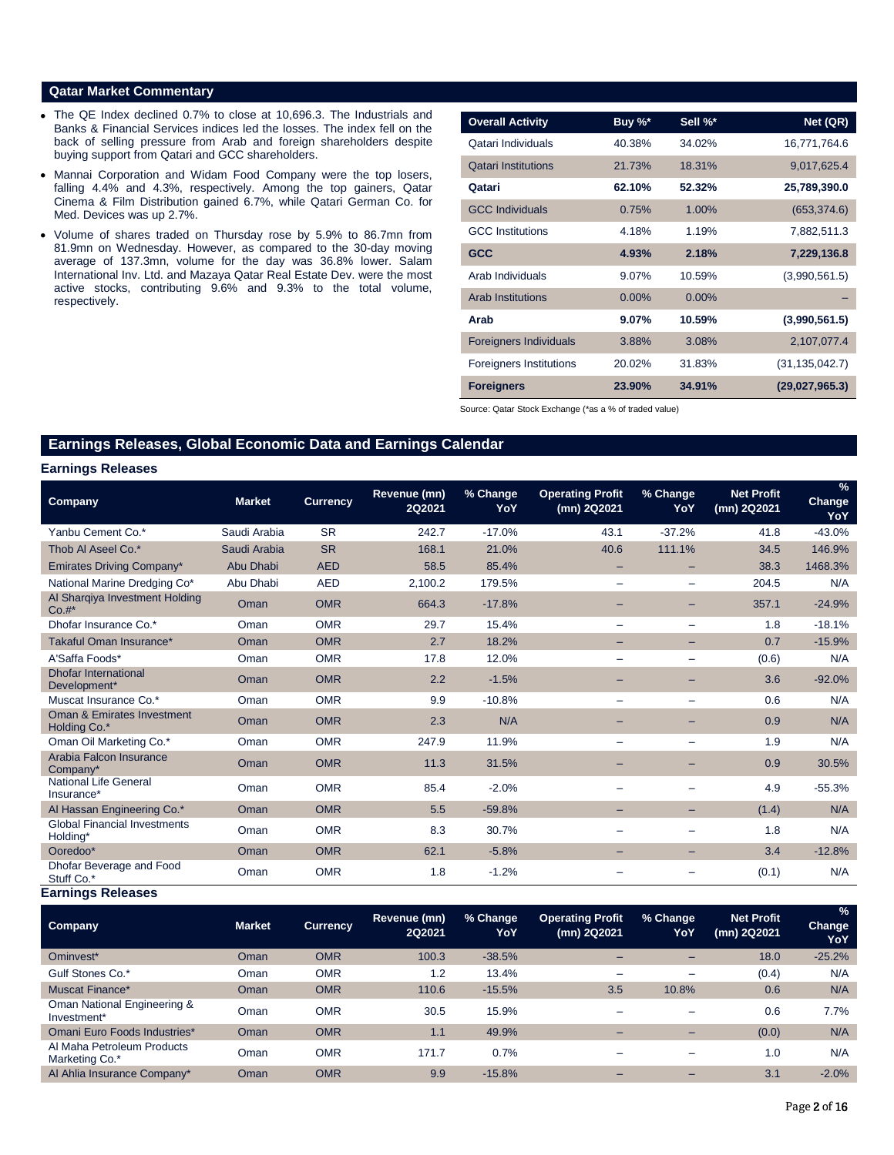### **Qatar Market Commentary**

- The QE Index declined 0.7% to close at 10,696.3. The Industrials and Banks & Financial Services indices led the losses. The index fell on the back of selling pressure from Arab and foreign shareholders despite buying support from Qatari and GCC shareholders.
- Mannai Corporation and Widam Food Company were the top losers, falling 4.4% and 4.3%, respectively. Among the top gainers, Qatar Cinema & Film Distribution gained 6.7%, while Qatari German Co. for Med. Devices was up 2.7%.
- Volume of shares traded on Thursday rose by 5.9% to 86.7mn from 81.9mn on Wednesday. However, as compared to the 30-day moving average of 137.3mn, volume for the day was 36.8% lower. Salam International Inv. Ltd. and Mazaya Qatar Real Estate Dev. were the most active stocks, contributing 9.6% and 9.3% to the total volume, respectively.

| <b>Overall Activity</b>        | Buy %*   | Sell %*  | Net (QR)         |
|--------------------------------|----------|----------|------------------|
| Qatari Individuals             | 40.38%   | 34.02%   | 16,771,764.6     |
| <b>Qatari Institutions</b>     | 21.73%   | 18.31%   | 9,017,625.4      |
| Qatari                         | 62.10%   | 52.32%   | 25,789,390.0     |
| <b>GCC Individuals</b>         | 0.75%    | 1.00%    | (653, 374.6)     |
| <b>GCC</b> Institutions        | 4.18%    | 1.19%    | 7,882,511.3      |
| <b>GCC</b>                     | 4.93%    | 2.18%    | 7,229,136.8      |
| Arab Individuals               | 9.07%    | 10.59%   | (3,990,561.5)    |
| <b>Arab Institutions</b>       | $0.00\%$ | $0.00\%$ |                  |
| Arab                           | $9.07\%$ | 10.59%   | (3,990,561.5)    |
| <b>Foreigners Individuals</b>  | 3.88%    | 3.08%    | 2,107,077.4      |
| <b>Foreigners Institutions</b> | 20.02%   | 31.83%   | (31, 135, 042.7) |
| <b>Foreigners</b>              | 23.90%   | 34.91%   | (29,027,965.3)   |

Source: Qatar Stock Exchange (\*as a % of traded value)

# **Earnings Releases, Global Economic Data and Earnings Calendar**

#### **Earnings Releases**

| <b>Company</b>                                        | <b>Market</b> | <b>Currency</b> | Revenue (mn)<br><b>2Q2021</b> | % Change<br>YoY | <b>Operating Profit</b><br>(mn) 2Q2021 | % Change<br>YoY          | <b>Net Profit</b><br>(mn) 2Q2021 | $\frac{9}{6}$<br><b>Change</b><br>YoY |
|-------------------------------------------------------|---------------|-----------------|-------------------------------|-----------------|----------------------------------------|--------------------------|----------------------------------|---------------------------------------|
| Yanbu Cement Co.*                                     | Saudi Arabia  | <b>SR</b>       | 242.7                         | $-17.0%$        | 43.1                                   | $-37.2%$                 | 41.8                             | $-43.0%$                              |
| Thob AI Aseel Co.*                                    | Saudi Arabia  | <b>SR</b>       | 168.1                         | 21.0%           | 40.6                                   | 111.1%                   | 34.5                             | 146.9%                                |
| <b>Emirates Driving Company*</b>                      | Abu Dhabi     | <b>AED</b>      | 58.5                          | 85.4%           | -                                      | $\overline{\phantom{0}}$ | 38.3                             | 1468.3%                               |
| National Marine Dredging Co*                          | Abu Dhabi     | <b>AED</b>      | 2,100.2                       | 179.5%          | $\qquad \qquad =$                      | $\overline{\phantom{a}}$ | 204.5                            | N/A                                   |
| Al Sharqiya Investment Holding<br>Co.#                | Oman          | <b>OMR</b>      | 664.3                         | $-17.8%$        | -                                      | -                        | 357.1                            | $-24.9%$                              |
| Dhofar Insurance Co.*                                 | Oman          | <b>OMR</b>      | 29.7                          | 15.4%           | -                                      | $\overline{\phantom{m}}$ | 1.8                              | $-18.1%$                              |
| Takaful Oman Insurance*                               | Oman          | <b>OMR</b>      | 2.7                           | 18.2%           | -                                      | $\overline{\phantom{0}}$ | 0.7                              | $-15.9%$                              |
| A'Saffa Foods*                                        | Oman          | <b>OMR</b>      | 17.8                          | 12.0%           | -                                      | -                        | (0.6)                            | N/A                                   |
| <b>Dhofar International</b><br>Development*           | Oman          | <b>OMR</b>      | 2.2                           | $-1.5%$         |                                        |                          | 3.6                              | $-92.0%$                              |
| Muscat Insurance Co.*                                 | Oman          | <b>OMR</b>      | 9.9                           | $-10.8%$        | —                                      | $\equiv$                 | 0.6                              | N/A                                   |
| <b>Oman &amp; Emirates Investment</b><br>Holding Co.* | Oman          | <b>OMR</b>      | 2.3                           | N/A             | -                                      |                          | 0.9                              | N/A                                   |
| Oman Oil Marketing Co.*                               | Oman          | <b>OMR</b>      | 247.9                         | 11.9%           | —                                      |                          | 1.9                              | N/A                                   |
| Arabia Falcon Insurance<br>Company*                   | Oman          | <b>OMR</b>      | 11.3                          | 31.5%           |                                        |                          | 0.9                              | 30.5%                                 |
| <b>National Life General</b><br>Insurance*            | Oman          | <b>OMR</b>      | 85.4                          | $-2.0%$         |                                        |                          | 4.9                              | $-55.3%$                              |
| Al Hassan Engineering Co.*                            | Oman          | <b>OMR</b>      | 5.5                           | $-59.8%$        |                                        |                          | (1.4)                            | N/A                                   |
| <b>Global Financial Investments</b><br>Holding*       | Oman          | <b>OMR</b>      | 8.3                           | 30.7%           | -                                      |                          | 1.8                              | N/A                                   |
| Ooredoo*                                              | Oman          | <b>OMR</b>      | 62.1                          | $-5.8%$         |                                        |                          | 3.4                              | $-12.8%$                              |
| Dhofar Beverage and Food<br>Stuff Co.*                | Oman          | <b>OMR</b>      | 1.8                           | $-1.2%$         |                                        |                          | (0.1)                            | N/A                                   |

#### **Earnings Releases**

| <b>Company</b>                                         | <b>Market</b> | <b>Currency</b> | Revenue (mn)<br>2Q2021 | % Change<br>YoY | <b>Operating Profit</b><br>(mn) 2Q2021 | % Change<br>YoY          | <b>Net Profit</b><br>(mn) 2Q2021 | $\%$<br><b>Change</b><br>YoY |
|--------------------------------------------------------|---------------|-----------------|------------------------|-----------------|----------------------------------------|--------------------------|----------------------------------|------------------------------|
| Ominvest*                                              | Oman          | <b>OMR</b>      | 100.3                  | $-38.5%$        |                                        |                          | 18.0                             | $-25.2%$                     |
| Gulf Stones Co.*                                       | Oman          | <b>OMR</b>      | 1.2                    | 13.4%           | -                                      | $\overline{\phantom{0}}$ | (0.4)                            | N/A                          |
| Muscat Finance*                                        | Oman          | <b>OMR</b>      | 110.6                  | $-15.5%$        | 3.5                                    | 10.8%                    | 0.6                              | N/A                          |
| Oman National Engineering &<br>Investment <sup>*</sup> | Oman          | <b>OMR</b>      | 30.5                   | 15.9%           |                                        | -                        | 0.6                              | 7.7%                         |
| Omani Euro Foods Industries*                           | Oman          | <b>OMR</b>      | 1.1                    | 49.9%           |                                        |                          | (0.0)                            | N/A                          |
| Al Maha Petroleum Products<br>Marketing Co.*           | Oman          | <b>OMR</b>      | 171.7                  | 0.7%            |                                        |                          | 1.0                              | N/A                          |
| Al Ahlia Insurance Company*                            | Oman          | <b>OMR</b>      | 9.9                    | $-15.8%$        |                                        |                          | 3.1                              | $-2.0%$                      |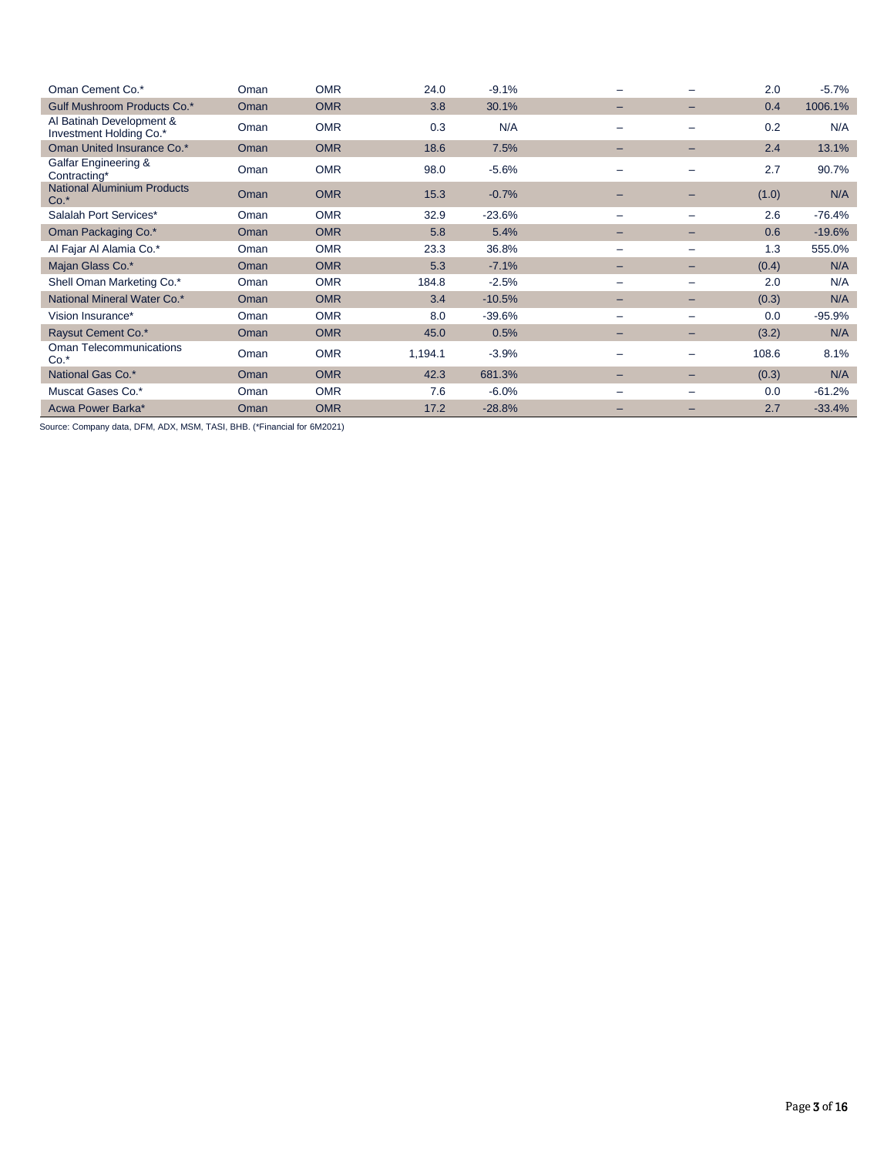| Oman Cement Co.*                                    | Oman | <b>OMR</b> | 24.0    | $-9.1%$  |   |                          | 2.0   | $-5.7\%$ |
|-----------------------------------------------------|------|------------|---------|----------|---|--------------------------|-------|----------|
| <b>Gulf Mushroom Products Co.*</b>                  | Oman | <b>OMR</b> | 3.8     | 30.1%    | - | -                        | 0.4   | 1006.1%  |
| Al Batinah Development &<br>Investment Holding Co.* | Oman | <b>OMR</b> | 0.3     | N/A      | - |                          | 0.2   | N/A      |
| Oman United Insurance Co.*                          | Oman | <b>OMR</b> | 18.6    | 7.5%     | - |                          | 2.4   | 13.1%    |
| Galfar Engineering &<br>Contracting*                | Oman | <b>OMR</b> | 98.0    | $-5.6%$  |   |                          | 2.7   | 90.7%    |
| <b>National Aluminium Products</b><br>$Co.*$        | Oman | <b>OMR</b> | 15.3    | $-0.7%$  |   | -                        | (1.0) | N/A      |
| Salalah Port Services*                              | Oman | <b>OMR</b> | 32.9    | $-23.6%$ | - |                          | 2.6   | $-76.4%$ |
| Oman Packaging Co.*                                 | Oman | <b>OMR</b> | 5.8     | 5.4%     |   |                          | 0.6   | $-19.6%$ |
| Al Fajar Al Alamia Co.*                             | Oman | <b>OMR</b> | 23.3    | 36.8%    |   |                          | 1.3   | 555.0%   |
| Majan Glass Co.*                                    | Oman | <b>OMR</b> | 5.3     | $-7.1%$  | - | $\overline{\phantom{0}}$ | (0.4) | N/A      |
| Shell Oman Marketing Co.*                           | Oman | <b>OMR</b> | 184.8   | $-2.5%$  |   |                          | 2.0   | N/A      |
| National Mineral Water Co.*                         | Oman | <b>OMR</b> | 3.4     | $-10.5%$ | - | -                        | (0.3) | N/A      |
| Vision Insurance*                                   | Oman | <b>OMR</b> | 8.0     | $-39.6%$ | - |                          | 0.0   | $-95.9%$ |
| Raysut Cement Co.*                                  | Oman | <b>OMR</b> | 45.0    | 0.5%     | - | $\overline{\phantom{0}}$ | (3.2) | N/A      |
| Oman Telecommunications<br>$Co.*$                   | Oman | <b>OMR</b> | 1,194.1 | $-3.9%$  | - | -                        | 108.6 | 8.1%     |
| National Gas Co.*                                   | Oman | <b>OMR</b> | 42.3    | 681.3%   | - | $-$                      | (0.3) | N/A      |
| Muscat Gases Co.*                                   | Oman | <b>OMR</b> | 7.6     | $-6.0%$  |   |                          | 0.0   | $-61.2%$ |
| Acwa Power Barka*                                   | Oman | <b>OMR</b> | 17.2    | $-28.8%$ |   |                          | 2.7   | $-33.4%$ |

Source: Company data, DFM, ADX, MSM, TASI, BHB. (\*Financial for 6M2021)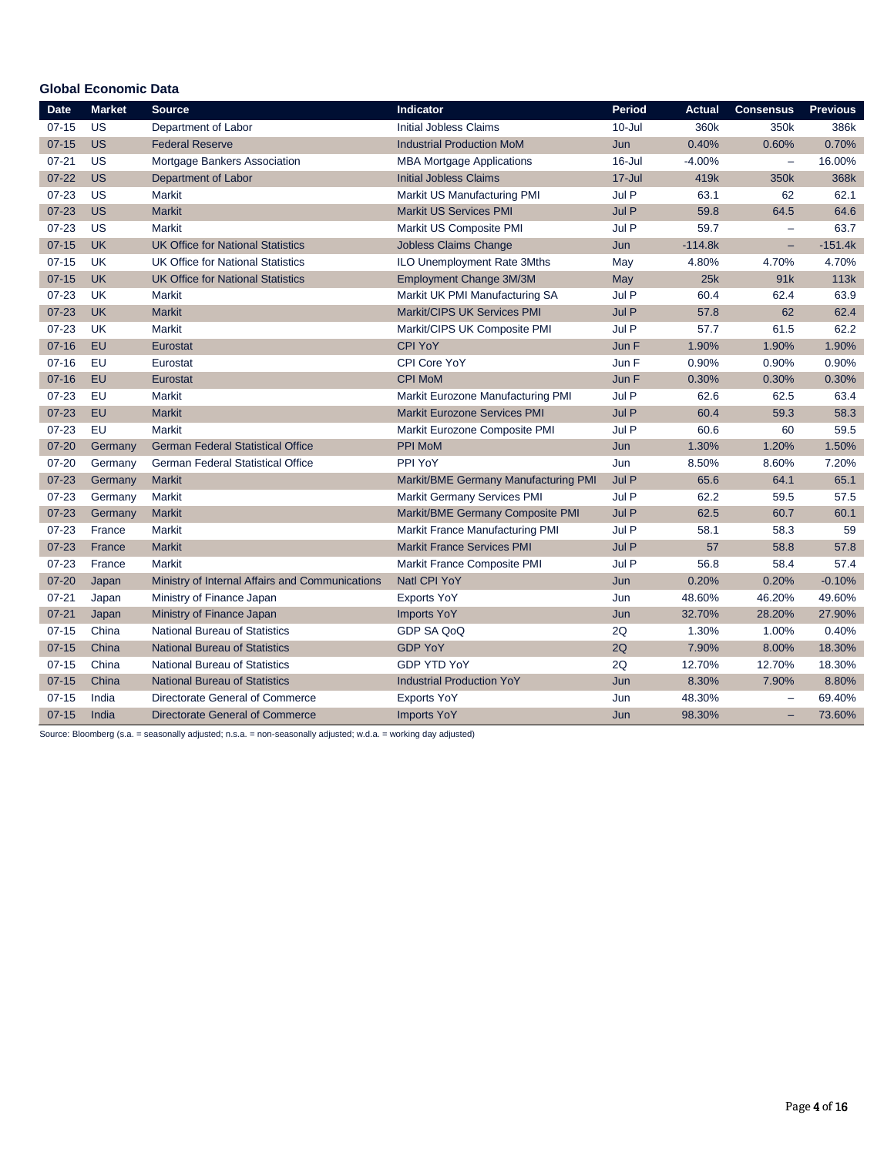# **Global Economic Data**

| <b>Date</b> | <b>Market</b> | <b>Source</b>                                   | Indicator                              | <b>Period</b> | <b>Actual</b> | <b>Consensus</b>         | <b>Previous</b> |
|-------------|---------------|-------------------------------------------------|----------------------------------------|---------------|---------------|--------------------------|-----------------|
| $07 - 15$   | US            | Department of Labor                             | <b>Initial Jobless Claims</b>          | $10 -$ Jul    | 360k          | 350k                     | 386k            |
| $07 - 15$   | <b>US</b>     | <b>Federal Reserve</b>                          | <b>Industrial Production MoM</b>       | Jun           | 0.40%         | 0.60%                    | 0.70%           |
| $07 - 21$   | US            | Mortgage Bankers Association                    | <b>MBA Mortgage Applications</b>       | $16$ -Jul     | $-4.00%$      | ÷,                       | 16.00%          |
| $07 - 22$   | <b>US</b>     | Department of Labor                             | <b>Initial Jobless Claims</b>          | $17 -$ Jul    | 419k          | 350k                     | 368k            |
| $07 - 23$   | US            | Markit                                          | Markit US Manufacturing PMI            | Jul P         | 63.1          | 62                       | 62.1            |
| $07 - 23$   | <b>US</b>     | <b>Markit</b>                                   | <b>Markit US Services PMI</b>          | Jul P         | 59.8          | 64.5                     | 64.6            |
| $07 - 23$   | US            | <b>Markit</b>                                   | Markit US Composite PMI                | Jul P         | 59.7          | ÷,                       | 63.7            |
| $07 - 15$   | <b>UK</b>     | <b>UK Office for National Statistics</b>        | Jobless Claims Change                  | Jun           | $-114.8k$     | -                        | $-151.4k$       |
| $07 - 15$   | <b>UK</b>     | <b>UK Office for National Statistics</b>        | ILO Unemployment Rate 3Mths            | May           | 4.80%         | 4.70%                    | 4.70%           |
| $07 - 15$   | <b>UK</b>     | <b>UK Office for National Statistics</b>        | Employment Change 3M/3M                | May           | 25k           | 91k                      | 113k            |
| $07 - 23$   | <b>UK</b>     | <b>Markit</b>                                   | Markit UK PMI Manufacturing SA         | Jul P         | 60.4          | 62.4                     | 63.9            |
| $07 - 23$   | <b>UK</b>     | <b>Markit</b>                                   | Markit/CIPS UK Services PMI            | Jul P         | 57.8          | 62                       | 62.4            |
| $07 - 23$   | <b>UK</b>     | Markit                                          | Markit/CIPS UK Composite PMI           | Jul P         | 57.7          | 61.5                     | 62.2            |
| $07 - 16$   | EU            | Eurostat                                        | <b>CPI YoY</b>                         | Jun F         | 1.90%         | 1.90%                    | 1.90%           |
| $07 - 16$   | EU            | Eurostat                                        | CPI Core YoY                           | Jun F         | 0.90%         | 0.90%                    | 0.90%           |
| $07 - 16$   | EU            | Eurostat                                        | <b>CPI MoM</b>                         | Jun F         | 0.30%         | 0.30%                    | 0.30%           |
| $07 - 23$   | EU            | Markit                                          | Markit Eurozone Manufacturing PMI      | Jul P         | 62.6          | 62.5                     | 63.4            |
| $07 - 23$   | EU            | <b>Markit</b>                                   | <b>Markit Eurozone Services PMI</b>    | Jul P         | 60.4          | 59.3                     | 58.3            |
| $07 - 23$   | EU            | <b>Markit</b>                                   | Markit Eurozone Composite PMI          | Jul P         | 60.6          | 60                       | 59.5            |
| $07 - 20$   | Germany       | <b>German Federal Statistical Office</b>        | PPI MoM                                | Jun           | 1.30%         | 1.20%                    | 1.50%           |
| $07 - 20$   | Germany       | <b>German Federal Statistical Office</b>        | PPI YoY                                | Jun           | 8.50%         | 8.60%                    | 7.20%           |
| $07 - 23$   | Germany       | <b>Markit</b>                                   | Markit/BME Germany Manufacturing PMI   | Jul P         | 65.6          | 64.1                     | 65.1            |
| $07 - 23$   | Germany       | <b>Markit</b>                                   | <b>Markit Germany Services PMI</b>     | Jul P         | 62.2          | 59.5                     | 57.5            |
| $07 - 23$   | Germany       | <b>Markit</b>                                   | Markit/BME Germany Composite PMI       | Jul P         | 62.5          | 60.7                     | 60.1            |
| $07 - 23$   | France        | Markit                                          | <b>Markit France Manufacturing PMI</b> | Jul P         | 58.1          | 58.3                     | 59              |
| $07 - 23$   | France        | <b>Markit</b>                                   | <b>Markit France Services PMI</b>      | Jul P         | 57            | 58.8                     | 57.8            |
| $07 - 23$   | France        | Markit                                          | Markit France Composite PMI            | Jul P         | 56.8          | 58.4                     | 57.4            |
| $07 - 20$   | Japan         | Ministry of Internal Affairs and Communications | Natl CPI YoY                           | Jun           | 0.20%         | 0.20%                    | $-0.10%$        |
| $07 - 21$   | Japan         | Ministry of Finance Japan                       | <b>Exports YoY</b>                     | Jun           | 48.60%        | 46.20%                   | 49.60%          |
| $07 - 21$   | Japan         | Ministry of Finance Japan                       | <b>Imports YoY</b>                     | Jun           | 32.70%        | 28.20%                   | 27.90%          |
| $07 - 15$   | China         | <b>National Bureau of Statistics</b>            | GDP SA QoQ                             | 2Q            | 1.30%         | 1.00%                    | 0.40%           |
| $07 - 15$   | China         | <b>National Bureau of Statistics</b>            | <b>GDP YoY</b>                         | 2Q            | 7.90%         | 8.00%                    | 18.30%          |
| $07 - 15$   | China         | <b>National Bureau of Statistics</b>            | <b>GDP YTD YoY</b>                     | 2Q            | 12.70%        | 12.70%                   | 18.30%          |
| $07 - 15$   | China         | <b>National Bureau of Statistics</b>            | <b>Industrial Production YoY</b>       | Jun           | 8.30%         | 7.90%                    | 8.80%           |
| $07 - 15$   | India         | Directorate General of Commerce                 | <b>Exports YoY</b>                     | Jun           | 48.30%        | $\equiv$                 | 69.40%          |
| $07 - 15$   | India         | <b>Directorate General of Commerce</b>          | <b>Imports YoY</b>                     | Jun           | 98.30%        | $\overline{\phantom{0}}$ | 73.60%          |

Source: Bloomberg (s.a. = seasonally adjusted; n.s.a. = non-seasonally adjusted; w.d.a. = working day adjusted)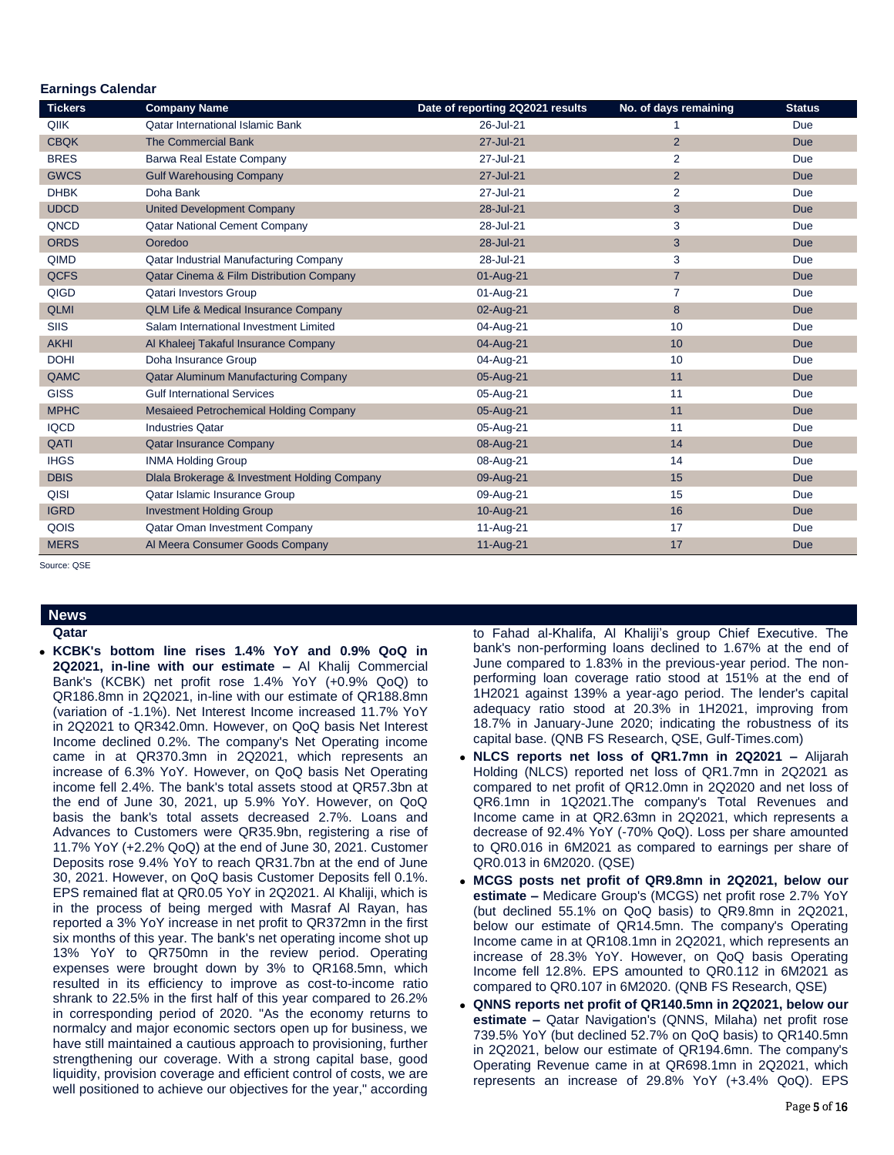| Earmnys Galenuar<br><b>Tickers</b> | <b>Company Name</b>                             | Date of reporting 2Q2021 results | No. of days remaining | <b>Status</b> |
|------------------------------------|-------------------------------------------------|----------------------------------|-----------------------|---------------|
| QIIK                               | <b>Qatar International Islamic Bank</b>         | 26-Jul-21                        |                       | Due           |
| <b>CBQK</b>                        | <b>The Commercial Bank</b>                      | 27-Jul-21                        | $\overline{2}$        | <b>Due</b>    |
| <b>BRES</b>                        | Barwa Real Estate Company                       | 27-Jul-21                        | $\overline{2}$        | Due           |
| <b>GWCS</b>                        | <b>Gulf Warehousing Company</b>                 | 27-Jul-21                        | $\overline{2}$        | <b>Due</b>    |
| <b>DHBK</b>                        | Doha Bank                                       | 27-Jul-21                        | 2                     | Due           |
| <b>UDCD</b>                        | <b>United Development Company</b>               | 28-Jul-21                        | 3                     | <b>Due</b>    |
| QNCD                               | Qatar National Cement Company                   | 28-Jul-21                        | 3                     | Due           |
| <b>ORDS</b>                        | Ooredoo                                         | 28-Jul-21                        | 3                     | <b>Due</b>    |
| QIMD                               | Qatar Industrial Manufacturing Company          | 28-Jul-21                        | 3                     | Due           |
| <b>QCFS</b>                        | Qatar Cinema & Film Distribution Company        | 01-Aug-21                        | $\overline{7}$        | <b>Due</b>    |
| QIGD                               | <b>Qatari Investors Group</b>                   | 01-Aug-21                        | $\overline{7}$        | Due           |
| <b>QLMI</b>                        | <b>QLM Life &amp; Medical Insurance Company</b> | 02-Aug-21                        | 8                     | <b>Due</b>    |
| <b>SIIS</b>                        | Salam International Investment Limited          | 04-Aug-21                        | 10                    | Due           |
| <b>AKHI</b>                        | Al Khaleej Takaful Insurance Company            | 04-Aug-21                        | 10                    | <b>Due</b>    |
| <b>DOHI</b>                        | Doha Insurance Group                            | 04-Aug-21                        | 10                    | Due           |
| QAMC                               | Qatar Aluminum Manufacturing Company            | 05-Aug-21                        | 11                    | <b>Due</b>    |
| <b>GISS</b>                        | <b>Gulf International Services</b>              | 05-Aug-21                        | 11                    | Due           |
| <b>MPHC</b>                        | <b>Mesaieed Petrochemical Holding Company</b>   | 05-Aug-21                        | 11                    | <b>Due</b>    |
| <b>IQCD</b>                        | <b>Industries Qatar</b>                         | 05-Aug-21                        | 11                    | Due           |
| QATI                               | <b>Qatar Insurance Company</b>                  | 08-Aug-21                        | 14                    | <b>Due</b>    |
| <b>IHGS</b>                        | <b>INMA Holding Group</b>                       | 08-Aug-21                        | 14                    | Due           |
| <b>DBIS</b>                        | Dlala Brokerage & Investment Holding Company    | 09-Aug-21                        | 15                    | <b>Due</b>    |
| QISI                               | Qatar Islamic Insurance Group                   | 09-Aug-21                        | 15                    | Due           |
| <b>IGRD</b>                        | <b>Investment Holding Group</b>                 | 10-Aug-21                        | 16                    | <b>Due</b>    |
| QOIS                               | Qatar Oman Investment Company                   | 11-Aug-21                        | 17                    | Due           |
| <b>MERS</b>                        | Al Meera Consumer Goods Company                 | 11-Aug-21                        | 17                    | <b>Due</b>    |

Source: QSE

 **Earnings Calendar**

**News Qatar KCBK's bottom line rises 1.4% YoY and 0.9% QoQ in 2Q2021, in-line with our estimate –** Al Khalij Commercial Bank's (KCBK) net profit rose 1.4% YoY (+0.9% QoQ) to QR186.8mn in 2Q2021, in-line with our estimate of QR188.8mn (variation of -1.1%). Net Interest Income increased 11.7% YoY in 2Q2021 to QR342.0mn. However, on QoQ basis Net Interest Income declined 0.2%. The company's Net Operating income came in at QR370.3mn in 2Q2021, which represents an increase of 6.3% YoY. However, on QoQ basis Net Operating income fell 2.4%. The bank's total assets stood at QR57.3bn at the end of June 30, 2021, up 5.9% YoY. However, on QoQ basis the bank's total assets decreased 2.7%. Loans and Advances to Customers were QR35.9bn, registering a rise of 11.7% YoY (+2.2% QoQ) at the end of June 30, 2021. Customer Deposits rose 9.4% YoY to reach QR31.7bn at the end of June 30, 2021. However, on QoQ basis Customer Deposits fell 0.1%. EPS remained flat at QR0.05 YoY in 2Q2021. Al Khaliji, which is in the process of being merged with Masraf Al Rayan, has reported a 3% YoY increase in net profit to QR372mn in the first six months of this year. The bank's net operating income shot up 13% YoY to QR750mn in the review period. Operating expenses were brought down by 3% to QR168.5mn, which resulted in its efficiency to improve as cost-to-income ratio shrank to 22.5% in the first half of this year compared to 26.2% in corresponding period of 2020. "As the economy returns to normalcy and major economic sectors open up for business, we have still maintained a cautious approach to provisioning, further strengthening our coverage. With a strong capital base, good liquidity, provision coverage and efficient control of costs, we are well positioned to achieve our objectives for the year," according

to Fahad al-Khalifa, Al Khaliji's group Chief Executive. The bank's non-performing loans declined to 1.67% at the end of June compared to 1.83% in the previous-year period. The nonperforming loan coverage ratio stood at 151% at the end of 1H2021 against 139% a year-ago period. The lender's capital adequacy ratio stood at 20.3% in 1H2021, improving from 18.7% in January-June 2020; indicating the robustness of its capital base. (QNB FS Research, QSE, Gulf-Times.com)

- **NLCS reports net loss of QR1.7mn in 2Q2021 –** Alijarah Holding (NLCS) reported net loss of QR1.7mn in 2Q2021 as compared to net profit of QR12.0mn in 2Q2020 and net loss of QR6.1mn in 1Q2021.The company's Total Revenues and Income came in at QR2.63mn in 2Q2021, which represents a decrease of 92.4% YoY (-70% QoQ). Loss per share amounted to QR0.016 in 6M2021 as compared to earnings per share of QR0.013 in 6M2020. (QSE)
- **MCGS posts net profit of QR9.8mn in 2Q2021, below our estimate –** Medicare Group's (MCGS) net profit rose 2.7% YoY (but declined 55.1% on QoQ basis) to QR9.8mn in 2Q2021, below our estimate of QR14.5mn. The company's Operating Income came in at QR108.1mn in 2Q2021, which represents an increase of 28.3% YoY. However, on QoQ basis Operating Income fell 12.8%. EPS amounted to QR0.112 in 6M2021 as compared to QR0.107 in 6M2020. (QNB FS Research, QSE)
- **QNNS reports net profit of QR140.5mn in 2Q2021, below our estimate –** Qatar Navigation's (QNNS, Milaha) net profit rose 739.5% YoY (but declined 52.7% on QoQ basis) to QR140.5mn in 2Q2021, below our estimate of QR194.6mn. The company's Operating Revenue came in at QR698.1mn in 2Q2021, which represents an increase of 29.8% YoY (+3.4% QoQ). EPS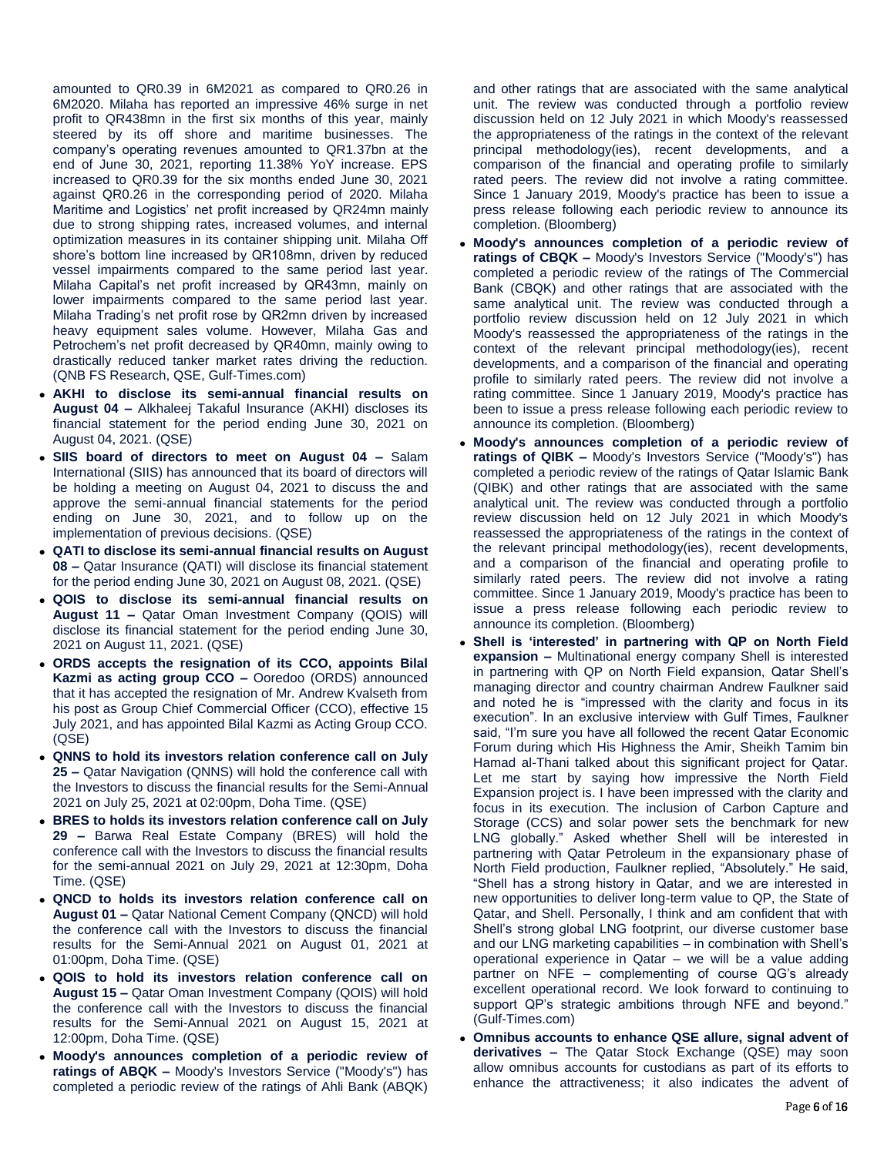amounted to QR0.39 in 6M2021 as compared to QR0.26 in 6M2020. Milaha has reported an impressive 46% surge in net profit to QR438mn in the first six months of this year, mainly steered by its off shore and maritime businesses. The company's operating revenues amounted to QR1.37bn at the end of June 30, 2021, reporting 11.38% YoY increase. EPS increased to QR0.39 for the six months ended June 30, 2021 against QR0.26 in the corresponding period of 2020. Milaha Maritime and Logistics' net profit increased by QR24mn mainly due to strong shipping rates, increased volumes, and internal optimization measures in its container shipping unit. Milaha Off shore's bottom line increased by QR108mn, driven by reduced vessel impairments compared to the same period last year. Milaha Capital's net profit increased by QR43mn, mainly on lower impairments compared to the same period last year. Milaha Trading's net profit rose by QR2mn driven by increased heavy equipment sales volume. However, Milaha Gas and Petrochem's net profit decreased by QR40mn, mainly owing to drastically reduced tanker market rates driving the reduction. (QNB FS Research, QSE, Gulf-Times.com)

- **AKHI to disclose its semi-annual financial results on August 04 –** Alkhaleej Takaful Insurance (AKHI) discloses its financial statement for the period ending June 30, 2021 on August 04, 2021. (QSE)
- **SIIS board of directors to meet on August 04 –** Salam International (SIIS) has announced that its board of directors will be holding a meeting on August 04, 2021 to discuss the and approve the semi-annual financial statements for the period ending on June 30, 2021, and to follow up on the implementation of previous decisions. (QSE)
- **QATI to disclose its semi-annual financial results on August 08 –** Qatar Insurance (QATI) will disclose its financial statement for the period ending June 30, 2021 on August 08, 2021. (QSE)
- **QOIS to disclose its semi-annual financial results on August 11 –** Qatar Oman Investment Company (QOIS) will disclose its financial statement for the period ending June 30, 2021 on August 11, 2021. (QSE)
- **ORDS accepts the resignation of its CCO, appoints Bilal Kazmi as acting group CCO –** Ooredoo (ORDS) announced that it has accepted the resignation of Mr. Andrew Kvalseth from his post as Group Chief Commercial Officer (CCO), effective 15 July 2021, and has appointed Bilal Kazmi as Acting Group CCO. (QSE)
- **QNNS to hold its investors relation conference call on July 25 –** Qatar Navigation (QNNS) will hold the conference call with the Investors to discuss the financial results for the Semi-Annual 2021 on July 25, 2021 at 02:00pm, Doha Time. (QSE)
- **BRES to holds its investors relation conference call on July 29 –** Barwa Real Estate Company (BRES) will hold the conference call with the Investors to discuss the financial results for the semi-annual 2021 on July 29, 2021 at 12:30pm, Doha Time. (QSE)
- **QNCD to holds its investors relation conference call on August 01 –** Qatar National Cement Company (QNCD) will hold the conference call with the Investors to discuss the financial results for the Semi-Annual 2021 on August 01, 2021 at 01:00pm, Doha Time. (QSE)
- **QOIS to hold its investors relation conference call on August 15 –** Qatar Oman Investment Company (QOIS) will hold the conference call with the Investors to discuss the financial results for the Semi-Annual 2021 on August 15, 2021 at 12:00pm, Doha Time. (QSE)
- **Moody's announces completion of a periodic review of ratings of ABQK –** Moody's Investors Service ("Moody's") has completed a periodic review of the ratings of Ahli Bank (ABQK)

and other ratings that are associated with the same analytical unit. The review was conducted through a portfolio review discussion held on 12 July 2021 in which Moody's reassessed the appropriateness of the ratings in the context of the relevant principal methodology(ies), recent developments, and a comparison of the financial and operating profile to similarly rated peers. The review did not involve a rating committee. Since 1 January 2019, Moody's practice has been to issue a press release following each periodic review to announce its completion. (Bloomberg)

- **Moody's announces completion of a periodic review of ratings of CBQK –** Moody's Investors Service ("Moody's") has completed a periodic review of the ratings of The Commercial Bank (CBQK) and other ratings that are associated with the same analytical unit. The review was conducted through a portfolio review discussion held on 12 July 2021 in which Moody's reassessed the appropriateness of the ratings in the context of the relevant principal methodology(ies), recent developments, and a comparison of the financial and operating profile to similarly rated peers. The review did not involve a rating committee. Since 1 January 2019, Moody's practice has been to issue a press release following each periodic review to announce its completion. (Bloomberg)
- **Moody's announces completion of a periodic review of ratings of QIBK –** Moody's Investors Service ("Moody's") has completed a periodic review of the ratings of Qatar Islamic Bank (QIBK) and other ratings that are associated with the same analytical unit. The review was conducted through a portfolio review discussion held on 12 July 2021 in which Moody's reassessed the appropriateness of the ratings in the context of the relevant principal methodology(ies), recent developments, and a comparison of the financial and operating profile to similarly rated peers. The review did not involve a rating committee. Since 1 January 2019, Moody's practice has been to issue a press release following each periodic review to announce its completion. (Bloomberg)
- **Shell is 'interested' in partnering with QP on North Field expansion –** Multinational energy company Shell is interested in partnering with QP on North Field expansion, Qatar Shell's managing director and country chairman Andrew Faulkner said and noted he is "impressed with the clarity and focus in its execution". In an exclusive interview with Gulf Times, Faulkner said, "I'm sure you have all followed the recent Qatar Economic Forum during which His Highness the Amir, Sheikh Tamim bin Hamad al-Thani talked about this significant project for Qatar. Let me start by saying how impressive the North Field Expansion project is. I have been impressed with the clarity and focus in its execution. The inclusion of Carbon Capture and Storage (CCS) and solar power sets the benchmark for new LNG globally." Asked whether Shell will be interested in partnering with Qatar Petroleum in the expansionary phase of North Field production, Faulkner replied, "Absolutely." He said, "Shell has a strong history in Qatar, and we are interested in new opportunities to deliver long-term value to QP, the State of Qatar, and Shell. Personally, I think and am confident that with Shell's strong global LNG footprint, our diverse customer base and our LNG marketing capabilities – in combination with Shell's operational experience in Qatar – we will be a value adding partner on NFE – complementing of course QG's already excellent operational record. We look forward to continuing to support QP's strategic ambitions through NFE and beyond." (Gulf-Times.com)
- **Omnibus accounts to enhance QSE allure, signal advent of derivatives –** The Qatar Stock Exchange (QSE) may soon allow omnibus accounts for custodians as part of its efforts to enhance the attractiveness; it also indicates the advent of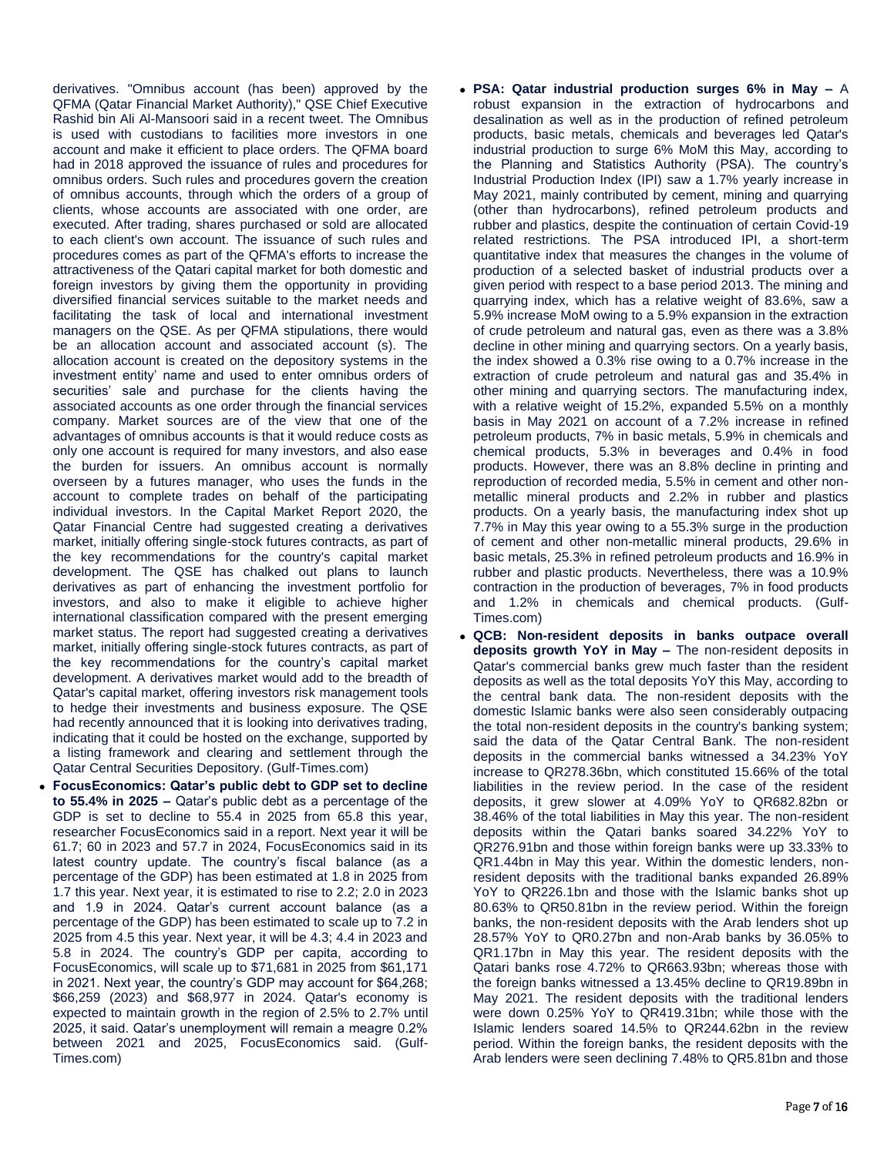derivatives. "Omnibus account (has been) approved by the QFMA (Qatar Financial Market Authority)," QSE Chief Executive Rashid bin Ali Al-Mansoori said in a recent tweet. The Omnibus is used with custodians to facilities more investors in one account and make it efficient to place orders. The QFMA board had in 2018 approved the issuance of rules and procedures for omnibus orders. Such rules and procedures govern the creation of omnibus accounts, through which the orders of a group of clients, whose accounts are associated with one order, are executed. After trading, shares purchased or sold are allocated to each client's own account. The issuance of such rules and procedures comes as part of the QFMA's efforts to increase the attractiveness of the Qatari capital market for both domestic and foreign investors by giving them the opportunity in providing diversified financial services suitable to the market needs and facilitating the task of local and international investment managers on the QSE. As per QFMA stipulations, there would be an allocation account and associated account (s). The allocation account is created on the depository systems in the investment entity' name and used to enter omnibus orders of securities' sale and purchase for the clients having the associated accounts as one order through the financial services company. Market sources are of the view that one of the advantages of omnibus accounts is that it would reduce costs as only one account is required for many investors, and also ease the burden for issuers. An omnibus account is normally overseen by a futures manager, who uses the funds in the account to complete trades on behalf of the participating individual investors. In the Capital Market Report 2020, the Qatar Financial Centre had suggested creating a derivatives market, initially offering single-stock futures contracts, as part of the key recommendations for the country's capital market development. The QSE has chalked out plans to launch derivatives as part of enhancing the investment portfolio for investors, and also to make it eligible to achieve higher international classification compared with the present emerging market status. The report had suggested creating a derivatives market, initially offering single-stock futures contracts, as part of the key recommendations for the country's capital market development. A derivatives market would add to the breadth of Qatar's capital market, offering investors risk management tools to hedge their investments and business exposure. The QSE had recently announced that it is looking into derivatives trading, indicating that it could be hosted on the exchange, supported by a listing framework and clearing and settlement through the Qatar Central Securities Depository. (Gulf-Times.com)

 **FocusEconomics: Qatar's public debt to GDP set to decline to 55.4% in 2025 –** Qatar's public debt as a percentage of the GDP is set to decline to 55.4 in 2025 from 65.8 this year, researcher FocusEconomics said in a report. Next year it will be 61.7; 60 in 2023 and 57.7 in 2024, FocusEconomics said in its latest country update. The country's fiscal balance (as a percentage of the GDP) has been estimated at 1.8 in 2025 from 1.7 this year. Next year, it is estimated to rise to 2.2; 2.0 in 2023 and 1.9 in 2024. Qatar's current account balance (as a percentage of the GDP) has been estimated to scale up to 7.2 in 2025 from 4.5 this year. Next year, it will be 4.3; 4.4 in 2023 and 5.8 in 2024. The country's GDP per capita, according to FocusEconomics, will scale up to \$71,681 in 2025 from \$61,171 in 2021. Next year, the country's GDP may account for \$64,268; \$66,259 (2023) and \$68,977 in 2024. Qatar's economy is expected to maintain growth in the region of 2.5% to 2.7% until 2025, it said. Qatar's unemployment will remain a meagre 0.2% between 2021 and 2025, FocusEconomics said. (Gulf-Times.com)

- **PSA: Qatar industrial production surges 6% in May –** A robust expansion in the extraction of hydrocarbons and desalination as well as in the production of refined petroleum products, basic metals, chemicals and beverages led Qatar's industrial production to surge 6% MoM this May, according to the Planning and Statistics Authority (PSA). The country's Industrial Production Index (IPI) saw a 1.7% yearly increase in May 2021, mainly contributed by cement, mining and quarrying (other than hydrocarbons), refined petroleum products and rubber and plastics, despite the continuation of certain Covid-19 related restrictions. The PSA introduced IPI, a short-term quantitative index that measures the changes in the volume of production of a selected basket of industrial products over a given period with respect to a base period 2013. The mining and quarrying index, which has a relative weight of 83.6%, saw a 5.9% increase MoM owing to a 5.9% expansion in the extraction of crude petroleum and natural gas, even as there was a 3.8% decline in other mining and quarrying sectors. On a yearly basis, the index showed a 0.3% rise owing to a 0.7% increase in the extraction of crude petroleum and natural gas and 35.4% in other mining and quarrying sectors. The manufacturing index, with a relative weight of 15.2%, expanded 5.5% on a monthly basis in May 2021 on account of a 7.2% increase in refined petroleum products, 7% in basic metals, 5.9% in chemicals and chemical products, 5.3% in beverages and 0.4% in food products. However, there was an 8.8% decline in printing and reproduction of recorded media, 5.5% in cement and other nonmetallic mineral products and 2.2% in rubber and plastics products. On a yearly basis, the manufacturing index shot up 7.7% in May this year owing to a 55.3% surge in the production of cement and other non-metallic mineral products, 29.6% in basic metals, 25.3% in refined petroleum products and 16.9% in rubber and plastic products. Nevertheless, there was a 10.9% contraction in the production of beverages, 7% in food products and 1.2% in chemicals and chemical products. (Gulf-Times.com)
- **QCB: Non-resident deposits in banks outpace overall deposits growth YoY in May –** The non-resident deposits in Qatar's commercial banks grew much faster than the resident deposits as well as the total deposits YoY this May, according to the central bank data. The non-resident deposits with the domestic Islamic banks were also seen considerably outpacing the total non-resident deposits in the country's banking system; said the data of the Qatar Central Bank. The non-resident deposits in the commercial banks witnessed a 34.23% YoY increase to QR278.36bn, which constituted 15.66% of the total liabilities in the review period. In the case of the resident deposits, it grew slower at 4.09% YoY to QR682.82bn or 38.46% of the total liabilities in May this year. The non-resident deposits within the Qatari banks soared 34.22% YoY to QR276.91bn and those within foreign banks were up 33.33% to QR1.44bn in May this year. Within the domestic lenders, nonresident deposits with the traditional banks expanded 26.89% YoY to QR226.1bn and those with the Islamic banks shot up 80.63% to QR50.81bn in the review period. Within the foreign banks, the non-resident deposits with the Arab lenders shot up 28.57% YoY to QR0.27bn and non-Arab banks by 36.05% to QR1.17bn in May this year. The resident deposits with the Qatari banks rose 4.72% to QR663.93bn; whereas those with the foreign banks witnessed a 13.45% decline to QR19.89bn in May 2021. The resident deposits with the traditional lenders were down 0.25% YoY to QR419.31bn; while those with the Islamic lenders soared 14.5% to QR244.62bn in the review period. Within the foreign banks, the resident deposits with the Arab lenders were seen declining 7.48% to QR5.81bn and those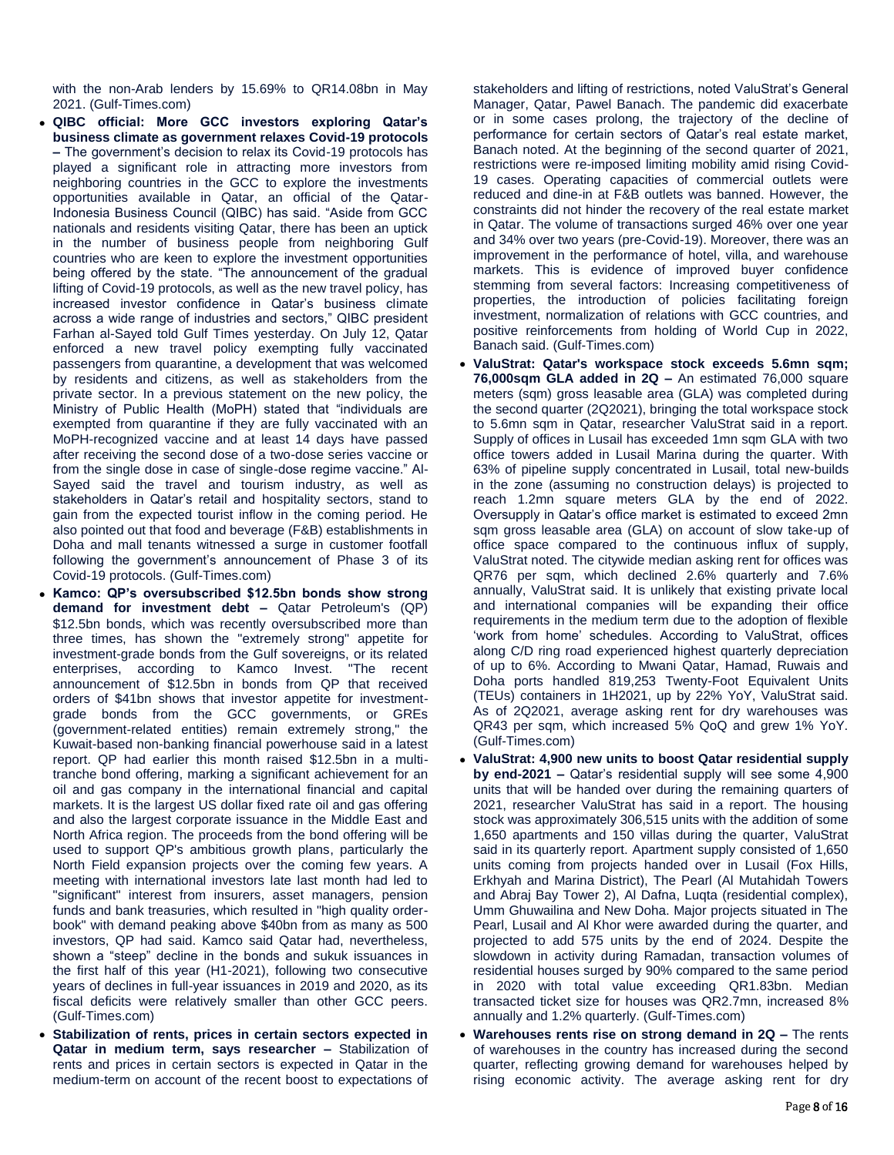with the non-Arab lenders by 15.69% to QR14.08bn in May 2021. (Gulf-Times.com)

- **QIBC official: More GCC investors exploring Qatar's business climate as government relaxes Covid-19 protocols –** The government's decision to relax its Covid-19 protocols has played a significant role in attracting more investors from neighboring countries in the GCC to explore the investments opportunities available in Qatar, an official of the Qatar-Indonesia Business Council (QIBC) has said. "Aside from GCC nationals and residents visiting Qatar, there has been an uptick in the number of business people from neighboring Gulf countries who are keen to explore the investment opportunities being offered by the state. "The announcement of the gradual lifting of Covid-19 protocols, as well as the new travel policy, has increased investor confidence in Qatar's business climate across a wide range of industries and sectors," QIBC president Farhan al-Sayed told Gulf Times yesterday. On July 12, Qatar enforced a new travel policy exempting fully vaccinated passengers from quarantine, a development that was welcomed by residents and citizens, as well as stakeholders from the private sector. In a previous statement on the new policy, the Ministry of Public Health (MoPH) stated that "individuals are exempted from quarantine if they are fully vaccinated with an MoPH-recognized vaccine and at least 14 days have passed after receiving the second dose of a two-dose series vaccine or from the single dose in case of single-dose regime vaccine." Al-Sayed said the travel and tourism industry, as well as stakeholders in Qatar's retail and hospitality sectors, stand to gain from the expected tourist inflow in the coming period. He also pointed out that food and beverage (F&B) establishments in Doha and mall tenants witnessed a surge in customer footfall following the government's announcement of Phase 3 of its Covid-19 protocols. (Gulf-Times.com)
- **Kamco: QP's oversubscribed \$12.5bn bonds show strong demand for investment debt –** Qatar Petroleum's (QP) \$12.5bn bonds, which was recently oversubscribed more than three times, has shown the "extremely strong" appetite for investment-grade bonds from the Gulf sovereigns, or its related enterprises, according to Kamco Invest. "The recent announcement of \$12.5bn in bonds from QP that received orders of \$41bn shows that investor appetite for investmentgrade bonds from the GCC governments, or GREs (government-related entities) remain extremely strong," the Kuwait-based non-banking financial powerhouse said in a latest report. QP had earlier this month raised \$12.5bn in a multitranche bond offering, marking a significant achievement for an oil and gas company in the international financial and capital markets. It is the largest US dollar fixed rate oil and gas offering and also the largest corporate issuance in the Middle East and North Africa region. The proceeds from the bond offering will be used to support QP's ambitious growth plans, particularly the North Field expansion projects over the coming few years. A meeting with international investors late last month had led to "significant" interest from insurers, asset managers, pension funds and bank treasuries, which resulted in "high quality orderbook" with demand peaking above \$40bn from as many as 500 investors, QP had said. Kamco said Qatar had, nevertheless, shown a "steep" decline in the bonds and sukuk issuances in the first half of this year (H1-2021), following two consecutive years of declines in full-year issuances in 2019 and 2020, as its fiscal deficits were relatively smaller than other GCC peers. (Gulf-Times.com)
- **Stabilization of rents, prices in certain sectors expected in Qatar in medium term, says researcher –** Stabilization of rents and prices in certain sectors is expected in Qatar in the medium-term on account of the recent boost to expectations of

stakeholders and lifting of restrictions, noted ValuStrat's General Manager, Qatar, Pawel Banach. The pandemic did exacerbate or in some cases prolong, the trajectory of the decline of performance for certain sectors of Qatar's real estate market, Banach noted. At the beginning of the second quarter of 2021, restrictions were re-imposed limiting mobility amid rising Covid-19 cases. Operating capacities of commercial outlets were reduced and dine-in at F&B outlets was banned. However, the constraints did not hinder the recovery of the real estate market in Qatar. The volume of transactions surged 46% over one year and 34% over two years (pre-Covid-19). Moreover, there was an improvement in the performance of hotel, villa, and warehouse markets. This is evidence of improved buyer confidence stemming from several factors: Increasing competitiveness of properties, the introduction of policies facilitating foreign investment, normalization of relations with GCC countries, and positive reinforcements from holding of World Cup in 2022, Banach said. (Gulf-Times.com)

- **ValuStrat: Qatar's workspace stock exceeds 5.6mn sqm; 76,000sqm GLA added in 2Q –** An estimated 76,000 square meters (sqm) gross leasable area (GLA) was completed during the second quarter (2Q2021), bringing the total workspace stock to 5.6mn sqm in Qatar, researcher ValuStrat said in a report. Supply of offices in Lusail has exceeded 1mn sqm GLA with two office towers added in Lusail Marina during the quarter. With 63% of pipeline supply concentrated in Lusail, total new-builds in the zone (assuming no construction delays) is projected to reach 1.2mn square meters GLA by the end of 2022. Oversupply in Qatar's office market is estimated to exceed 2mn sqm gross leasable area (GLA) on account of slow take-up of office space compared to the continuous influx of supply, ValuStrat noted. The citywide median asking rent for offices was QR76 per sqm, which declined 2.6% quarterly and 7.6% annually, ValuStrat said. It is unlikely that existing private local and international companies will be expanding their office requirements in the medium term due to the adoption of flexible 'work from home' schedules. According to ValuStrat, offices along C/D ring road experienced highest quarterly depreciation of up to 6%. According to Mwani Qatar, Hamad, Ruwais and Doha ports handled 819,253 Twenty-Foot Equivalent Units (TEUs) containers in 1H2021, up by 22% YoY, ValuStrat said. As of 2Q2021, average asking rent for dry warehouses was QR43 per sqm, which increased 5% QoQ and grew 1% YoY. (Gulf-Times.com)
- **ValuStrat: 4,900 new units to boost Qatar residential supply by end-2021 –** Qatar's residential supply will see some 4,900 units that will be handed over during the remaining quarters of 2021, researcher ValuStrat has said in a report. The housing stock was approximately 306,515 units with the addition of some 1,650 apartments and 150 villas during the quarter, ValuStrat said in its quarterly report. Apartment supply consisted of 1,650 units coming from projects handed over in Lusail (Fox Hills, Erkhyah and Marina District), The Pearl (Al Mutahidah Towers and Abraj Bay Tower 2), Al Dafna, Luqta (residential complex), Umm Ghuwailina and New Doha. Major projects situated in The Pearl, Lusail and Al Khor were awarded during the quarter, and projected to add 575 units by the end of 2024. Despite the slowdown in activity during Ramadan, transaction volumes of residential houses surged by 90% compared to the same period in 2020 with total value exceeding QR1.83bn. Median transacted ticket size for houses was QR2.7mn, increased 8% annually and 1.2% quarterly. (Gulf-Times.com)
- **Warehouses rents rise on strong demand in 2Q –** The rents of warehouses in the country has increased during the second quarter, reflecting growing demand for warehouses helped by rising economic activity. The average asking rent for dry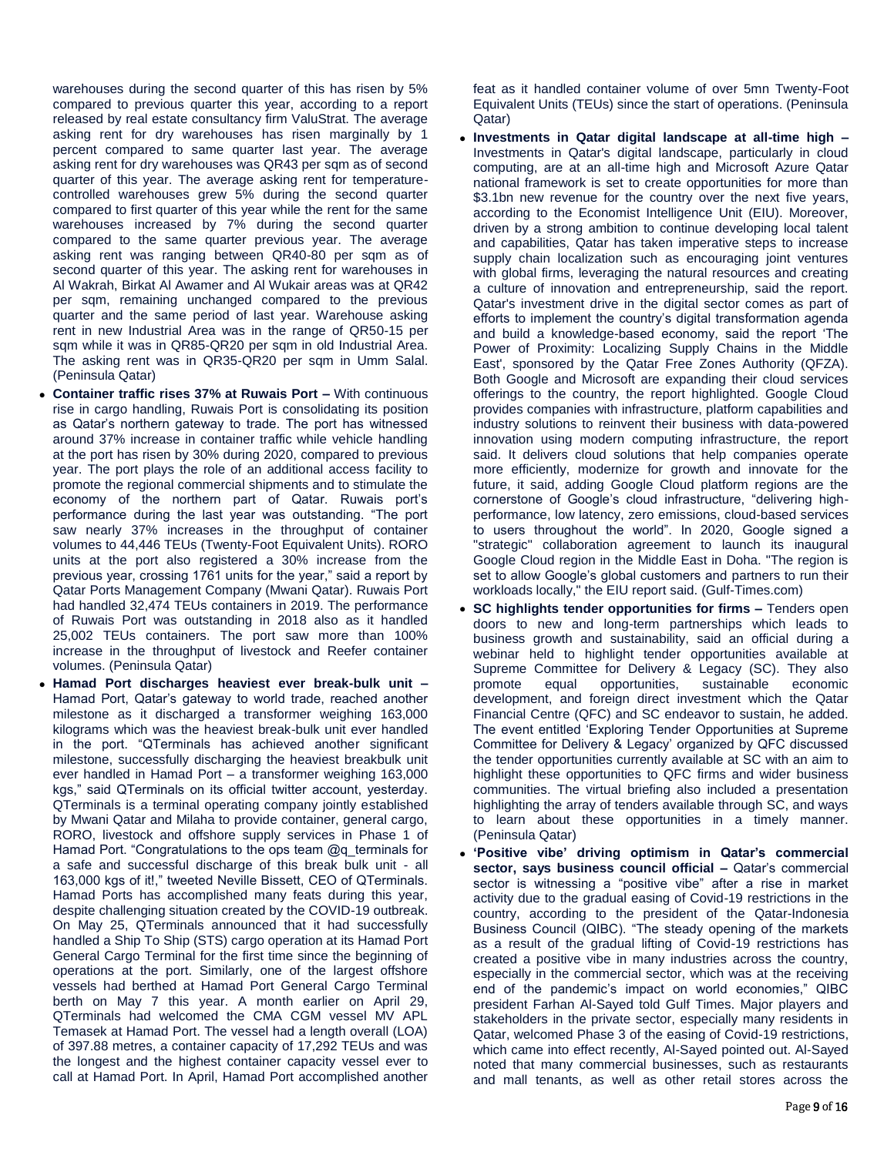warehouses during the second quarter of this has risen by 5% compared to previous quarter this year, according to a report released by real estate consultancy firm ValuStrat. The average asking rent for dry warehouses has risen marginally by 1 percent compared to same quarter last year. The average asking rent for dry warehouses was QR43 per sqm as of second quarter of this year. The average asking rent for temperaturecontrolled warehouses grew 5% during the second quarter compared to first quarter of this year while the rent for the same warehouses increased by 7% during the second quarter compared to the same quarter previous year. The average asking rent was ranging between QR40-80 per sqm as of second quarter of this year. The asking rent for warehouses in Al Wakrah, Birkat Al Awamer and Al Wukair areas was at QR42 per sqm, remaining unchanged compared to the previous quarter and the same period of last year. Warehouse asking rent in new Industrial Area was in the range of QR50-15 per sqm while it was in QR85-QR20 per sqm in old Industrial Area. The asking rent was in QR35-QR20 per sqm in Umm Salal. (Peninsula Qatar)

- **Container traffic rises 37% at Ruwais Port –** With continuous rise in cargo handling, Ruwais Port is consolidating its position as Qatar's northern gateway to trade. The port has witnessed around 37% increase in container traffic while vehicle handling at the port has risen by 30% during 2020, compared to previous year. The port plays the role of an additional access facility to promote the regional commercial shipments and to stimulate the economy of the northern part of Qatar. Ruwais port's performance during the last year was outstanding. "The port saw nearly 37% increases in the throughput of container volumes to 44,446 TEUs (Twenty-Foot Equivalent Units). RORO units at the port also registered a 30% increase from the previous year, crossing 1761 units for the year," said a report by Qatar Ports Management Company (Mwani Qatar). Ruwais Port had handled 32,474 TEUs containers in 2019. The performance of Ruwais Port was outstanding in 2018 also as it handled 25,002 TEUs containers. The port saw more than 100% increase in the throughput of livestock and Reefer container volumes. (Peninsula Qatar)
- **Hamad Port discharges heaviest ever break-bulk unit –** Hamad Port, Qatar's gateway to world trade, reached another milestone as it discharged a transformer weighing 163,000 kilograms which was the heaviest break-bulk unit ever handled in the port. "QTerminals has achieved another significant milestone, successfully discharging the heaviest breakbulk unit ever handled in Hamad Port – a transformer weighing 163,000 kgs," said QTerminals on its official twitter account, yesterday. QTerminals is a terminal operating company jointly established by Mwani Qatar and Milaha to provide container, general cargo, RORO, livestock and offshore supply services in Phase 1 of Hamad Port. "Congratulations to the ops team @q\_terminals for a safe and successful discharge of this break bulk unit - all 163,000 kgs of it!," tweeted Neville Bissett, CEO of QTerminals. Hamad Ports has accomplished many feats during this year, despite challenging situation created by the COVID-19 outbreak. On May 25, QTerminals announced that it had successfully handled a Ship To Ship (STS) cargo operation at its Hamad Port General Cargo Terminal for the first time since the beginning of operations at the port. Similarly, one of the largest offshore vessels had berthed at Hamad Port General Cargo Terminal berth on May 7 this year. A month earlier on April 29, QTerminals had welcomed the CMA CGM vessel MV APL Temasek at Hamad Port. The vessel had a length overall (LOA) of 397.88 metres, a container capacity of 17,292 TEUs and was the longest and the highest container capacity vessel ever to call at Hamad Port. In April, Hamad Port accomplished another

feat as it handled container volume of over 5mn Twenty-Foot Equivalent Units (TEUs) since the start of operations. (Peninsula Qatar)

- **Investments in Qatar digital landscape at all-time high –** Investments in Qatar's digital landscape, particularly in cloud computing, are at an all-time high and Microsoft Azure Qatar national framework is set to create opportunities for more than \$3.1bn new revenue for the country over the next five years, according to the Economist Intelligence Unit (EIU). Moreover, driven by a strong ambition to continue developing local talent and capabilities, Qatar has taken imperative steps to increase supply chain localization such as encouraging joint ventures with global firms, leveraging the natural resources and creating a culture of innovation and entrepreneurship, said the report. Qatar's investment drive in the digital sector comes as part of efforts to implement the country's digital transformation agenda and build a knowledge-based economy, said the report 'The Power of Proximity: Localizing Supply Chains in the Middle East', sponsored by the Qatar Free Zones Authority (QFZA). Both Google and Microsoft are expanding their cloud services offerings to the country, the report highlighted. Google Cloud provides companies with infrastructure, platform capabilities and industry solutions to reinvent their business with data-powered innovation using modern computing infrastructure, the report said. It delivers cloud solutions that help companies operate more efficiently, modernize for growth and innovate for the future, it said, adding Google Cloud platform regions are the cornerstone of Google's cloud infrastructure, "delivering highperformance, low latency, zero emissions, cloud-based services to users throughout the world". In 2020, Google signed a "strategic" collaboration agreement to launch its inaugural Google Cloud region in the Middle East in Doha. "The region is set to allow Google's global customers and partners to run their workloads locally," the EIU report said. (Gulf-Times.com)
- **SC highlights tender opportunities for firms –** Tenders open doors to new and long-term partnerships which leads to business growth and sustainability, said an official during a webinar held to highlight tender opportunities available at Supreme Committee for Delivery & Legacy (SC). They also promote equal opportunities, sustainable economic development, and foreign direct investment which the Qatar Financial Centre (QFC) and SC endeavor to sustain, he added. The event entitled 'Exploring Tender Opportunities at Supreme Committee for Delivery & Legacy' organized by QFC discussed the tender opportunities currently available at SC with an aim to highlight these opportunities to QFC firms and wider business communities. The virtual briefing also included a presentation highlighting the array of tenders available through SC, and ways to learn about these opportunities in a timely manner. (Peninsula Qatar)
- **'Positive vibe' driving optimism in Qatar's commercial sector, says business council official –** Qatar's commercial sector is witnessing a "positive vibe" after a rise in market activity due to the gradual easing of Covid-19 restrictions in the country, according to the president of the Qatar-Indonesia Business Council (QIBC). "The steady opening of the markets as a result of the gradual lifting of Covid-19 restrictions has created a positive vibe in many industries across the country, especially in the commercial sector, which was at the receiving end of the pandemic's impact on world economies," QIBC president Farhan Al-Sayed told Gulf Times. Major players and stakeholders in the private sector, especially many residents in Qatar, welcomed Phase 3 of the easing of Covid-19 restrictions, which came into effect recently, Al-Sayed pointed out. Al-Sayed noted that many commercial businesses, such as restaurants and mall tenants, as well as other retail stores across the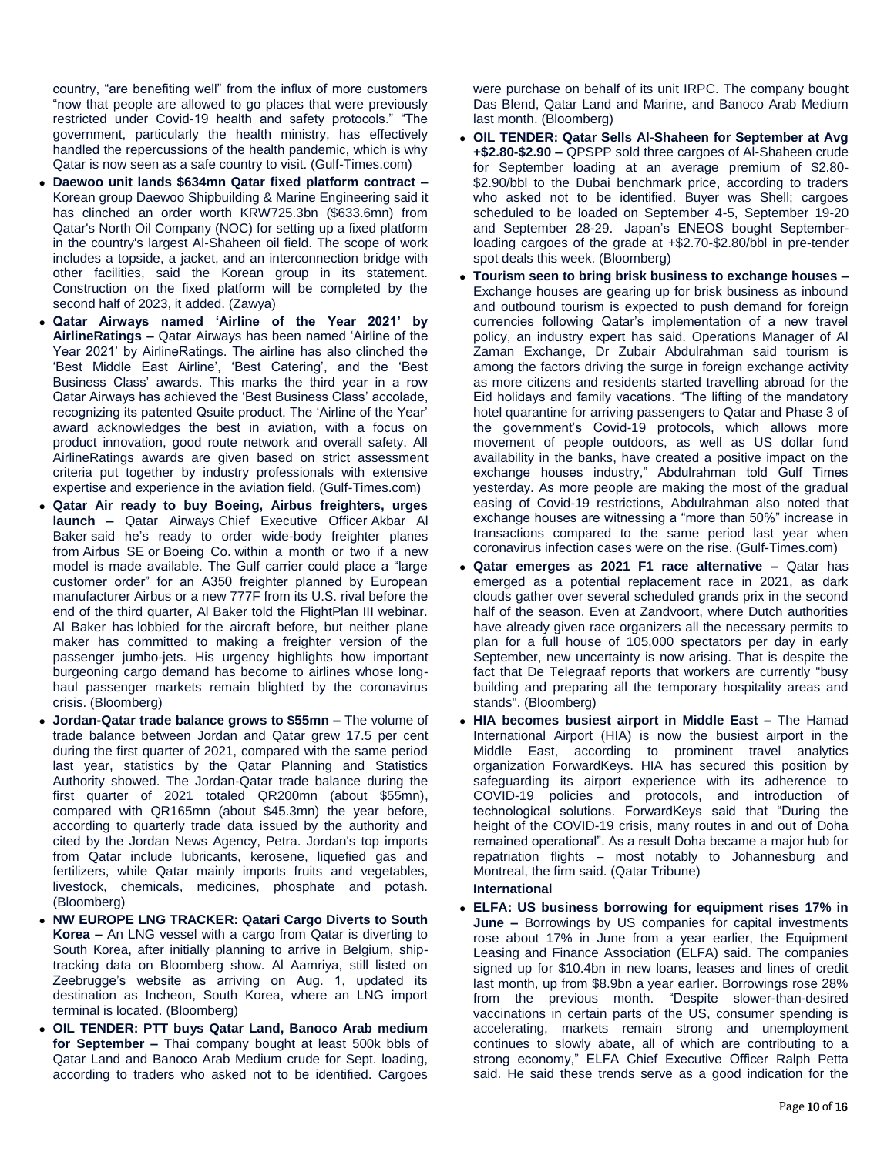country, "are benefiting well" from the influx of more customers "now that people are allowed to go places that were previously restricted under Covid-19 health and safety protocols." "The government, particularly the health ministry, has effectively handled the repercussions of the health pandemic, which is why Qatar is now seen as a safe country to visit. (Gulf-Times.com)

- **Daewoo unit lands \$634mn Qatar fixed platform contract –** Korean group Daewoo Shipbuilding & Marine Engineering said it has clinched an order worth KRW725.3bn (\$633.6mn) from Qatar's North Oil Company (NOC) for setting up a fixed platform in the country's largest Al-Shaheen oil field. The scope of work includes a topside, a jacket, and an interconnection bridge with other facilities, said the Korean group in its statement. Construction on the fixed platform will be completed by the second half of 2023, it added. (Zawya)
- **Qatar Airways named 'Airline of the Year 2021' by AirlineRatings –** Qatar Airways has been named 'Airline of the Year 2021' by AirlineRatings. The airline has also clinched the 'Best Middle East Airline', 'Best Catering', and the 'Best Business Class' awards. This marks the third year in a row Qatar Airways has achieved the 'Best Business Class' accolade, recognizing its patented Qsuite product. The 'Airline of the Year' award acknowledges the best in aviation, with a focus on product innovation, good route network and overall safety. All AirlineRatings awards are given based on strict assessment criteria put together by industry professionals with extensive expertise and experience in the aviation field. (Gulf-Times.com)
- **Qatar Air ready to buy Boeing, Airbus freighters, urges launch –** Qatar Airways Chief Executive Officer Akbar Al Baker said he's ready to order wide-body freighter planes from Airbus SE or Boeing Co. within a month or two if a new model is made available. The Gulf carrier could place a "large customer order" for an A350 freighter planned by European manufacturer Airbus or a new 777F from its U.S. rival before the end of the third quarter, Al Baker told the FlightPlan III webinar. Al Baker has lobbied for the aircraft before, but neither plane maker has committed to making a freighter version of the passenger jumbo-jets. His urgency highlights how important burgeoning cargo demand has become to airlines whose longhaul passenger markets remain blighted by the coronavirus crisis. (Bloomberg)
- **Jordan-Qatar trade balance grows to \$55mn –** The volume of trade balance between Jordan and Qatar grew 17.5 per cent during the first quarter of 2021, compared with the same period last year, statistics by the Qatar Planning and Statistics Authority showed. The Jordan-Qatar trade balance during the first quarter of 2021 totaled QR200mn (about \$55mn), compared with QR165mn (about \$45.3mn) the year before, according to quarterly trade data issued by the authority and cited by the Jordan News Agency, Petra. Jordan's top imports from Qatar include lubricants, kerosene, liquefied gas and fertilizers, while Qatar mainly imports fruits and vegetables, livestock, chemicals, medicines, phosphate and potash. (Bloomberg)
- **NW EUROPE LNG TRACKER: Qatari Cargo Diverts to South Korea –** An LNG vessel with a cargo from Qatar is diverting to South Korea, after initially planning to arrive in Belgium, shiptracking data on Bloomberg show. Al Aamriya, still listed on Zeebrugge's website as arriving on Aug. 1, updated its destination as Incheon, South Korea, where an LNG import terminal is located. (Bloomberg)
- **OIL TENDER: PTT buys Qatar Land, Banoco Arab medium for September –** Thai company bought at least 500k bbls of Qatar Land and Banoco Arab Medium crude for Sept. loading, according to traders who asked not to be identified. Cargoes

were purchase on behalf of its unit IRPC. The company bought Das Blend, Qatar Land and Marine, and Banoco Arab Medium last month. (Bloomberg)

- **OIL TENDER: Qatar Sells Al-Shaheen for September at Avg +\$2.80-\$2.90 –** QPSPP sold three cargoes of Al-Shaheen crude for September loading at an average premium of \$2.80- \$2.90/bbl to the Dubai benchmark price, according to traders who asked not to be identified. Buyer was Shell; cargoes scheduled to be loaded on September 4-5, September 19-20 and September 28-29. Japan's ENEOS bought Septemberloading cargoes of the grade at +\$2.70-\$2.80/bbl in pre-tender spot deals this week. (Bloomberg)
- **Tourism seen to bring brisk business to exchange houses –** Exchange houses are gearing up for brisk business as inbound and outbound tourism is expected to push demand for foreign currencies following Qatar's implementation of a new travel policy, an industry expert has said. Operations Manager of Al Zaman Exchange, Dr Zubair Abdulrahman said tourism is among the factors driving the surge in foreign exchange activity as more citizens and residents started travelling abroad for the Eid holidays and family vacations. "The lifting of the mandatory hotel quarantine for arriving passengers to Qatar and Phase 3 of the government's Covid-19 protocols, which allows more movement of people outdoors, as well as US dollar fund availability in the banks, have created a positive impact on the exchange houses industry," Abdulrahman told Gulf Times yesterday. As more people are making the most of the gradual easing of Covid-19 restrictions, Abdulrahman also noted that exchange houses are witnessing a "more than 50%" increase in transactions compared to the same period last year when coronavirus infection cases were on the rise. (Gulf-Times.com)
- **Qatar emerges as 2021 F1 race alternative –** Qatar has emerged as a potential replacement race in 2021, as dark clouds gather over several scheduled grands prix in the second half of the season. Even at Zandvoort, where Dutch authorities have already given race organizers all the necessary permits to plan for a full house of 105,000 spectators per day in early September, new uncertainty is now arising. That is despite the fact that De Telegraaf reports that workers are currently "busy building and preparing all the temporary hospitality areas and stands". (Bloomberg)
- **HIA becomes busiest airport in Middle East –** The Hamad International Airport (HIA) is now the busiest airport in the Middle East, according to prominent travel analytics organization ForwardKeys. HIA has secured this position by safeguarding its airport experience with its adherence to COVID-19 policies and protocols, and introduction of technological solutions. ForwardKeys said that "During the height of the COVID-19 crisis, many routes in and out of Doha remained operational". As a result Doha became a major hub for repatriation flights – most notably to Johannesburg and Montreal, the firm said. (Qatar Tribune) **International**
- **ELFA: US business borrowing for equipment rises 17% in June –** Borrowings by US companies for capital investments rose about 17% in June from a year earlier, the Equipment Leasing and Finance Association (ELFA) said. The companies signed up for \$10.4bn in new loans, leases and lines of credit last month, up from \$8.9bn a year earlier. Borrowings rose 28% from the previous month. "Despite slower-than-desired vaccinations in certain parts of the US, consumer spending is accelerating, markets remain strong and unemployment continues to slowly abate, all of which are contributing to a strong economy," ELFA Chief Executive Officer Ralph Petta said. He said these trends serve as a good indication for the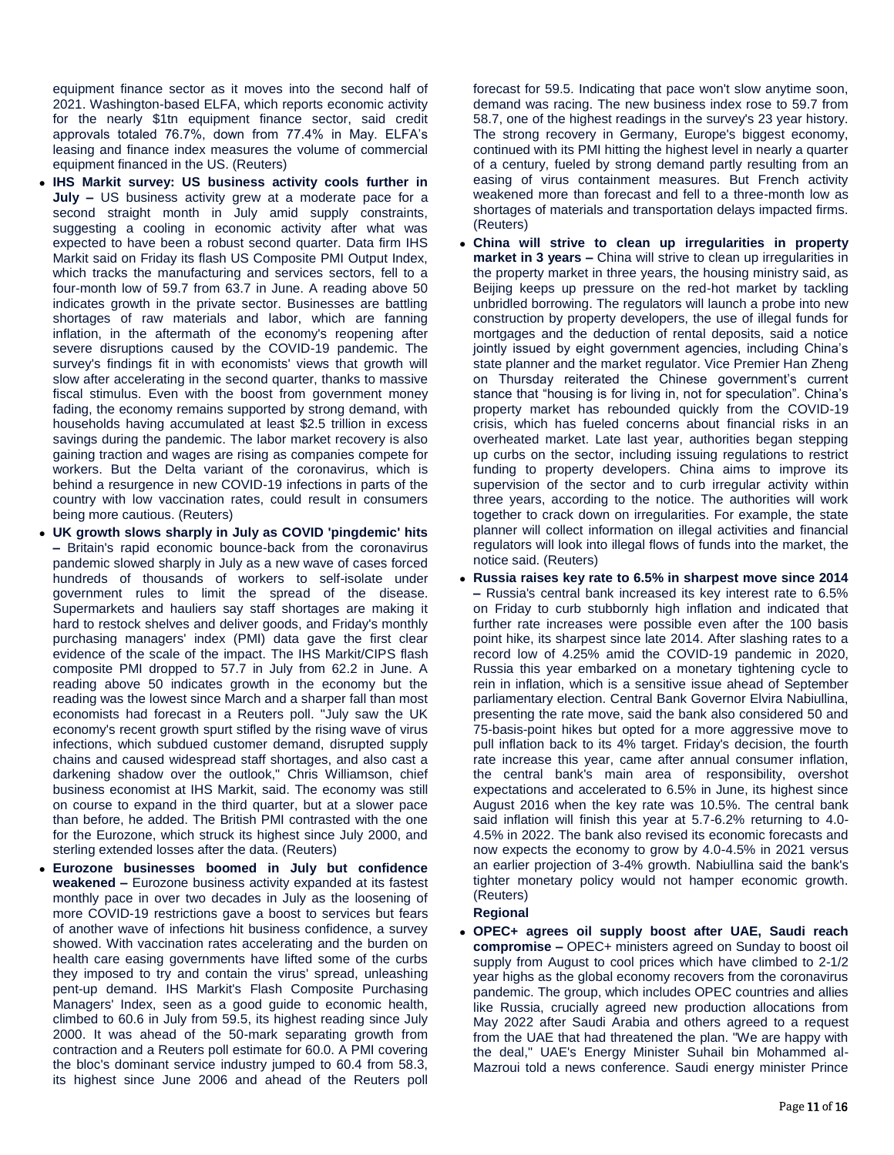equipment finance sector as it moves into the second half of 2021. Washington-based ELFA, which reports economic activity for the nearly \$1tn equipment finance sector, said credit approvals totaled 76.7%, down from 77.4% in May. ELFA's leasing and finance index measures the volume of commercial equipment financed in the US. (Reuters)

- **IHS Markit survey: US business activity cools further in July –** US business activity grew at a moderate pace for a second straight month in July amid supply constraints, suggesting a cooling in economic activity after what was expected to have been a robust second quarter. Data firm IHS Markit said on Friday its flash US Composite PMI Output Index, which tracks the manufacturing and services sectors, fell to a four-month low of 59.7 from 63.7 in June. A reading above 50 indicates growth in the private sector. Businesses are battling shortages of raw materials and labor, which are fanning inflation, in the aftermath of the economy's reopening after severe disruptions caused by the COVID-19 pandemic. The survey's findings fit in with economists' views that growth will slow after accelerating in the second quarter, thanks to massive fiscal stimulus. Even with the boost from government money fading, the economy remains supported by strong demand, with households having accumulated at least \$2.5 trillion in excess savings during the pandemic. The labor market recovery is also gaining traction and wages are rising as companies compete for workers. But the Delta variant of the coronavirus, which is behind a resurgence in new COVID-19 infections in parts of the country with low vaccination rates, could result in consumers being more cautious. (Reuters)
- **UK growth slows sharply in July as COVID 'pingdemic' hits –** Britain's rapid economic bounce-back from the coronavirus pandemic slowed sharply in July as a new wave of cases forced hundreds of thousands of workers to self-isolate under government rules to limit the spread of the disease. Supermarkets and hauliers say staff shortages are making it hard to restock shelves and deliver goods, and Friday's monthly purchasing managers' index (PMI) data gave the first clear evidence of the scale of the impact. The IHS Markit/CIPS flash composite PMI dropped to 57.7 in July from 62.2 in June. A reading above 50 indicates growth in the economy but the reading was the lowest since March and a sharper fall than most economists had forecast in a Reuters poll. "July saw the UK economy's recent growth spurt stifled by the rising wave of virus infections, which subdued customer demand, disrupted supply chains and caused widespread staff shortages, and also cast a darkening shadow over the outlook," Chris Williamson, chief business economist at IHS Markit, said. The economy was still on course to expand in the third quarter, but at a slower pace than before, he added. The British PMI contrasted with the one for the Eurozone, which struck its highest since July 2000, and sterling extended losses after the data. (Reuters)
- **Eurozone businesses boomed in July but confidence weakened –** Eurozone business activity expanded at its fastest monthly pace in over two decades in July as the loosening of more COVID-19 restrictions gave a boost to services but fears of another wave of infections hit business confidence, a survey showed. With vaccination rates accelerating and the burden on health care easing governments have lifted some of the curbs they imposed to try and contain the virus' spread, unleashing pent-up demand. IHS Markit's Flash Composite Purchasing Managers' Index, seen as a good guide to economic health, climbed to 60.6 in July from 59.5, its highest reading since July 2000. It was ahead of the 50-mark separating growth from contraction and a Reuters poll estimate for 60.0. A PMI covering the bloc's dominant service industry jumped to 60.4 from 58.3, its highest since June 2006 and ahead of the Reuters poll

forecast for 59.5. Indicating that pace won't slow anytime soon, demand was racing. The new business index rose to 59.7 from 58.7, one of the highest readings in the survey's 23 year history. The strong recovery in Germany, Europe's biggest economy, continued with its PMI hitting the highest level in nearly a quarter of a century, fueled by strong demand partly resulting from an easing of virus containment measures. But French activity weakened more than forecast and fell to a three-month low as shortages of materials and transportation delays impacted firms. (Reuters)

- **China will strive to clean up irregularities in property market in 3 years –** China will strive to clean up irregularities in the property market in three years, the housing ministry said, as Beijing keeps up pressure on the red-hot market by tackling unbridled borrowing. The regulators will launch a probe into new construction by property developers, the use of illegal funds for mortgages and the deduction of rental deposits, said a notice jointly issued by eight government agencies, including China's state planner and the market regulator. Vice Premier Han Zheng on Thursday reiterated the Chinese government's current stance that "housing is for living in, not for speculation". China's property market has rebounded quickly from the COVID-19 crisis, which has fueled concerns about financial risks in an overheated market. Late last year, authorities began stepping up curbs on the sector, including issuing regulations to restrict funding to property developers. China aims to improve its supervision of the sector and to curb irregular activity within three years, according to the notice. The authorities will work together to crack down on irregularities. For example, the state planner will collect information on illegal activities and financial regulators will look into illegal flows of funds into the market, the notice said. (Reuters)
- **Russia raises key rate to 6.5% in sharpest move since 2014 –** Russia's central bank increased its key interest rate to 6.5% on Friday to curb stubbornly high inflation and indicated that further rate increases were possible even after the 100 basis point hike, its sharpest since late 2014. After slashing rates to a record low of 4.25% amid the COVID-19 pandemic in 2020, Russia this year embarked on a monetary tightening cycle to rein in inflation, which is a sensitive issue ahead of September parliamentary election. Central Bank Governor Elvira Nabiullina, presenting the rate move, said the bank also considered 50 and 75-basis-point hikes but opted for a more aggressive move to pull inflation back to its 4% target. Friday's decision, the fourth rate increase this year, came after annual consumer inflation, the central bank's main area of responsibility, overshot expectations and accelerated to 6.5% in June, its highest since August 2016 when the key rate was 10.5%. The central bank said inflation will finish this year at 5.7-6.2% returning to 4.0- 4.5% in 2022. The bank also revised its economic forecasts and now expects the economy to grow by 4.0-4.5% in 2021 versus an earlier projection of 3-4% growth. Nabiullina said the bank's tighter monetary policy would not hamper economic growth. (Reuters)

# **Regional**

 **OPEC+ agrees oil supply boost after UAE, Saudi reach compromise –** OPEC+ ministers agreed on Sunday to boost oil supply from August to cool prices which have climbed to 2-1/2 year highs as the global economy recovers from the coronavirus pandemic. The group, which includes OPEC countries and allies like Russia, crucially agreed new production allocations from May 2022 after Saudi Arabia and others agreed to a request from the UAE that had threatened the plan. "We are happy with the deal," UAE's Energy Minister Suhail bin Mohammed al-Mazroui told a news conference. Saudi energy minister Prince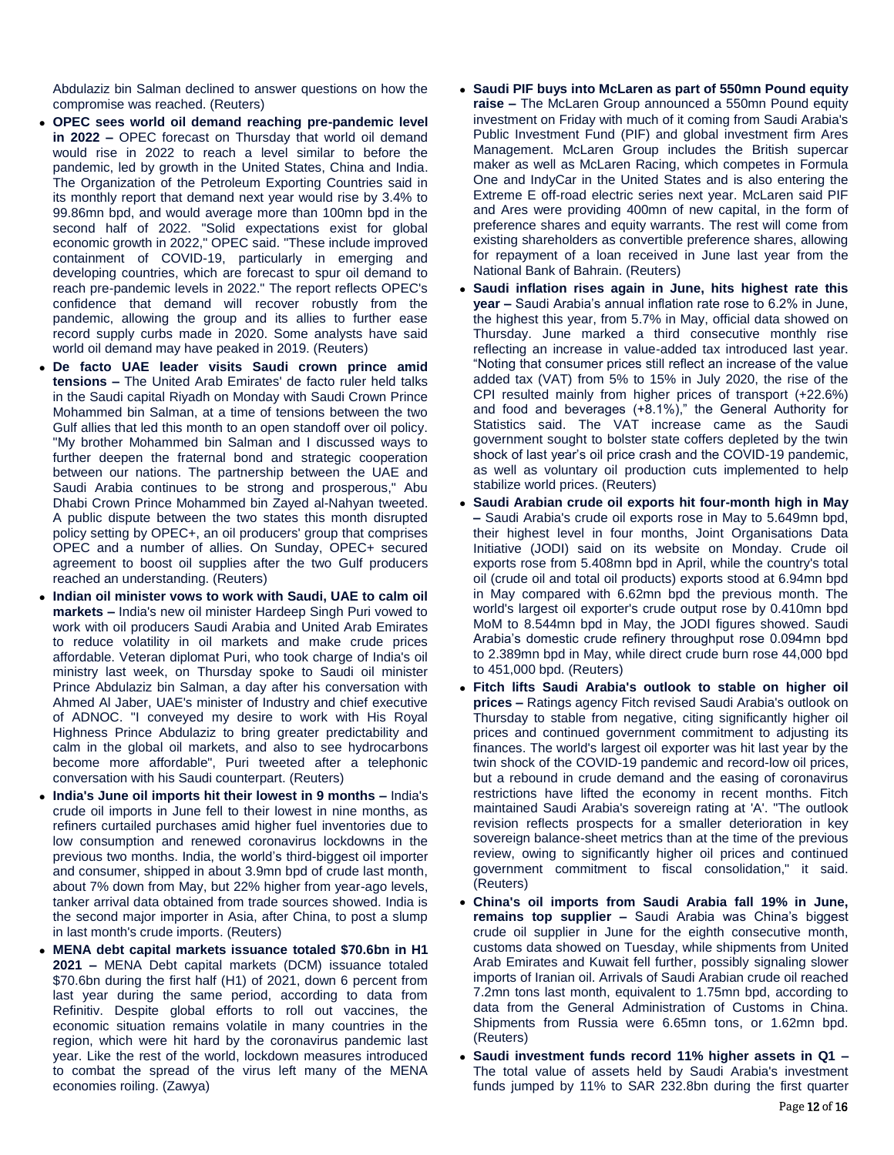Abdulaziz bin Salman declined to answer questions on how the compromise was reached. (Reuters)

- **OPEC sees world oil demand reaching pre-pandemic level in 2022 –** OPEC forecast on Thursday that world oil demand would rise in 2022 to reach a level similar to before the pandemic, led by growth in the United States, China and India. The Organization of the Petroleum Exporting Countries said in its monthly report that demand next year would rise by 3.4% to 99.86mn bpd, and would average more than 100mn bpd in the second half of 2022. "Solid expectations exist for global economic growth in 2022," OPEC said. "These include improved containment of COVID-19, particularly in emerging and developing countries, which are forecast to spur oil demand to reach pre-pandemic levels in 2022." The report reflects OPEC's confidence that demand will recover robustly from the pandemic, allowing the group and its allies to further ease record supply curbs made in 2020. Some analysts have said world oil demand may have peaked in 2019. (Reuters)
- **De facto UAE leader visits Saudi crown prince amid tensions –** The United Arab Emirates' de facto ruler held talks in the Saudi capital Riyadh on Monday with Saudi Crown Prince Mohammed bin Salman, at a time of tensions between the two Gulf allies that led this month to an open standoff over oil policy. "My brother Mohammed bin Salman and I discussed ways to further deepen the fraternal bond and strategic cooperation between our nations. The partnership between the UAE and Saudi Arabia continues to be strong and prosperous," Abu Dhabi Crown Prince Mohammed bin Zayed al-Nahyan tweeted. A public dispute between the two states this month disrupted policy setting by OPEC+, an oil producers' group that comprises OPEC and a number of allies. On Sunday, OPEC+ secured agreement to boost oil supplies after the two Gulf producers reached an understanding. (Reuters)
- **Indian oil minister vows to work with Saudi, UAE to calm oil markets –** India's new oil minister Hardeep Singh Puri vowed to work with oil producers Saudi Arabia and United Arab Emirates to reduce volatility in oil markets and make crude prices affordable. Veteran diplomat Puri, who took charge of India's oil ministry last week, on Thursday spoke to Saudi oil minister Prince Abdulaziz bin Salman, a day after his conversation with Ahmed Al Jaber, UAE's minister of Industry and chief executive of ADNOC. "I conveyed my desire to work with His Royal Highness Prince Abdulaziz to bring greater predictability and calm in the global oil markets, and also to see hydrocarbons become more affordable", Puri tweeted after a telephonic conversation with his Saudi counterpart. (Reuters)
- **India's June oil imports hit their lowest in 9 months –** India's crude oil imports in June fell to their lowest in nine months, as refiners curtailed purchases amid higher fuel inventories due to low consumption and renewed coronavirus lockdowns in the previous two months. India, the world's third-biggest oil importer and consumer, shipped in about 3.9mn bpd of crude last month, about 7% down from May, but 22% higher from year-ago levels, tanker arrival data obtained from trade sources showed. India is the second major importer in Asia, after China, to post a slump in last month's crude imports. (Reuters)
- **MENA debt capital markets issuance totaled \$70.6bn in H1 2021 –** MENA Debt capital markets (DCM) issuance totaled \$70.6bn during the first half (H1) of 2021, down 6 percent from last year during the same period, according to data from Refinitiv. Despite global efforts to roll out vaccines, the economic situation remains volatile in many countries in the region, which were hit hard by the coronavirus pandemic last year. Like the rest of the world, lockdown measures introduced to combat the spread of the virus left many of the MENA economies roiling. (Zawya)
- **Saudi PIF buys into McLaren as part of 550mn Pound equity raise –** The McLaren Group announced a 550mn Pound equity investment on Friday with much of it coming from Saudi Arabia's Public Investment Fund (PIF) and global investment firm Ares Management. McLaren Group includes the British supercar maker as well as McLaren Racing, which competes in Formula One and IndyCar in the United States and is also entering the Extreme E off-road electric series next year. McLaren said PIF and Ares were providing 400mn of new capital, in the form of preference shares and equity warrants. The rest will come from existing shareholders as convertible preference shares, allowing for repayment of a loan received in June last year from the National Bank of Bahrain. (Reuters)
- **Saudi inflation rises again in June, hits highest rate this year –** Saudi Arabia's annual inflation rate rose to 6.2% in June, the highest this year, from 5.7% in May, official data showed on Thursday. June marked a third consecutive monthly rise reflecting an increase in value-added tax introduced last year. "Noting that consumer prices still reflect an increase of the value added tax (VAT) from 5% to 15% in July 2020, the rise of the CPI resulted mainly from higher prices of transport (+22.6%) and food and beverages (+8.1%)," the General Authority for Statistics said. The VAT increase came as the Saudi government sought to bolster state coffers depleted by the twin shock of last year's oil price crash and the COVID-19 pandemic, as well as voluntary oil production cuts implemented to help stabilize world prices. (Reuters)
- **Saudi Arabian crude oil exports hit four-month high in May –** Saudi Arabia's crude oil exports rose in May to 5.649mn bpd, their highest level in four months, Joint Organisations Data Initiative (JODI) said on its website on Monday. Crude oil exports rose from 5.408mn bpd in April, while the country's total oil (crude oil and total oil products) exports stood at 6.94mn bpd in May compared with 6.62mn bpd the previous month. The world's largest oil exporter's crude output rose by 0.410mn bpd MoM to 8.544mn bpd in May, the JODI figures showed. Saudi Arabia's domestic crude refinery throughput rose 0.094mn bpd to 2.389mn bpd in May, while direct crude burn rose 44,000 bpd to 451,000 bpd. (Reuters)
- **Fitch lifts Saudi Arabia's outlook to stable on higher oil prices –** Ratings agency Fitch revised Saudi Arabia's outlook on Thursday to stable from negative, citing significantly higher oil prices and continued government commitment to adjusting its finances. The world's largest oil exporter was hit last year by the twin shock of the COVID-19 pandemic and record-low oil prices, but a rebound in crude demand and the easing of coronavirus restrictions have lifted the economy in recent months. Fitch maintained Saudi Arabia's sovereign rating at 'A'. "The outlook revision reflects prospects for a smaller deterioration in key sovereign balance-sheet metrics than at the time of the previous review, owing to significantly higher oil prices and continued government commitment to fiscal consolidation," it said. (Reuters)
- **China's oil imports from Saudi Arabia fall 19% in June, remains top supplier –** Saudi Arabia was China's biggest crude oil supplier in June for the eighth consecutive month, customs data showed on Tuesday, while shipments from United Arab Emirates and Kuwait fell further, possibly signaling slower imports of Iranian oil. Arrivals of Saudi Arabian crude oil reached 7.2mn tons last month, equivalent to 1.75mn bpd, according to data from the General Administration of Customs in China. Shipments from Russia were 6.65mn tons, or 1.62mn bpd. (Reuters)
- **Saudi investment funds record 11% higher assets in Q1 –** The total value of assets held by Saudi Arabia's investment funds jumped by 11% to SAR 232.8bn during the first quarter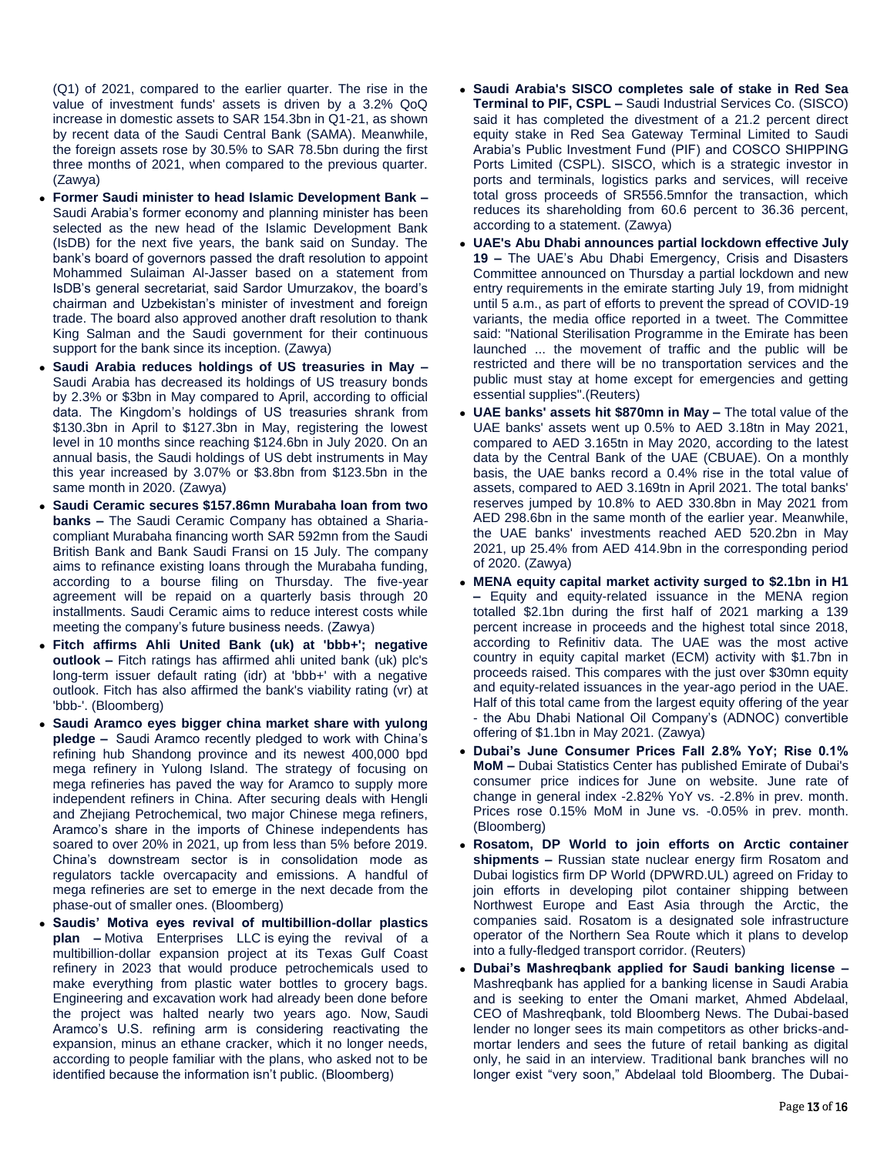(Q1) of 2021, compared to the earlier quarter. The rise in the value of investment funds' assets is driven by a 3.2% QoQ increase in domestic assets to SAR 154.3bn in Q1-21, as shown by recent data of the Saudi Central Bank (SAMA). Meanwhile, the foreign assets rose by 30.5% to SAR 78.5bn during the first three months of 2021, when compared to the previous quarter. (Zawya)

- **Former Saudi minister to head Islamic Development Bank**  Saudi Arabia's former economy and planning minister has been selected as the new head of the Islamic Development Bank (IsDB) for the next five years, the bank said on Sunday. The bank's board of governors passed the draft resolution to appoint Mohammed Sulaiman Al-Jasser based on a statement from IsDB's general secretariat, said Sardor Umurzakov, the board's chairman and Uzbekistan's minister of investment and foreign trade. The board also approved another draft resolution to thank King Salman and the Saudi government for their continuous support for the bank since its inception. (Zawya)
- **Saudi Arabia reduces holdings of US treasuries in May –** Saudi Arabia has decreased its holdings of US treasury bonds by 2.3% or \$3bn in May compared to April, according to official data. The Kingdom's holdings of US treasuries shrank from \$130.3bn in April to \$127.3bn in May, registering the lowest level in 10 months since reaching \$124.6bn in July 2020. On an annual basis, the Saudi holdings of US debt instruments in May this year increased by 3.07% or \$3.8bn from \$123.5bn in the same month in 2020. (Zawya)
- **Saudi Ceramic secures \$157.86mn Murabaha loan from two banks –** The Saudi Ceramic Company has obtained a Shariacompliant Murabaha financing worth SAR 592mn from the Saudi British Bank and Bank Saudi Fransi on 15 July. The company aims to refinance existing loans through the Murabaha funding, according to a bourse filing on Thursday. The five-year agreement will be repaid on a quarterly basis through 20 installments. Saudi Ceramic aims to reduce interest costs while meeting the company's future business needs. (Zawya)
- **Fitch affirms Ahli United Bank (uk) at 'bbb+'; negative outlook –** Fitch ratings has affirmed ahli united bank (uk) plc's long-term issuer default rating (idr) at 'bbb+' with a negative outlook. Fitch has also affirmed the bank's viability rating (vr) at 'bbb-'. (Bloomberg)
- **Saudi Aramco eyes bigger china market share with yulong pledge –** Saudi Aramco recently pledged to work with China's refining hub Shandong province and its newest 400,000 bpd mega refinery in Yulong Island. The strategy of focusing on mega refineries has paved the way for Aramco to supply more independent refiners in China. After securing deals with Hengli and Zhejiang Petrochemical, two major Chinese mega refiners, Aramco's share in the imports of Chinese independents has soared to over 20% in 2021, up from less than 5% before 2019. China's downstream sector is in consolidation mode as regulators tackle overcapacity and emissions. A handful of mega refineries are set to emerge in the next decade from the phase-out of smaller ones. (Bloomberg)
- **Saudis' Motiva eyes revival of multibillion-dollar plastics plan –** Motiva Enterprises LLC is eying the revival of a multibillion-dollar expansion project at its Texas Gulf Coast refinery in 2023 that would produce petrochemicals used to make everything from plastic water bottles to grocery bags. Engineering and excavation work had already been done before the project was halted nearly two years ago. Now, Saudi Aramco's U.S. refining arm is considering reactivating the expansion, minus an ethane cracker, which it no longer needs, according to people familiar with the plans, who asked not to be identified because the information isn't public. (Bloomberg)
- **Saudi Arabia's SISCO completes sale of stake in Red Sea Terminal to PIF, CSPL –** Saudi Industrial Services Co. (SISCO) said it has completed the divestment of a 21.2 percent direct equity stake in Red Sea Gateway Terminal Limited to Saudi Arabia's Public Investment Fund (PIF) and COSCO SHIPPING Ports Limited (CSPL). SISCO, which is a strategic investor in ports and terminals, logistics parks and services, will receive total gross proceeds of SR556.5mnfor the transaction, which reduces its shareholding from 60.6 percent to 36.36 percent, according to a statement. (Zawya)
- **UAE's Abu Dhabi announces partial lockdown effective July 19 –** The UAE's Abu Dhabi Emergency, Crisis and Disasters Committee announced on Thursday a partial lockdown and new entry requirements in the emirate starting July 19, from midnight until 5 a.m., as part of efforts to prevent the spread of COVID-19 variants, the media office reported in a tweet. The Committee said: "National Sterilisation Programme in the Emirate has been launched ... the movement of traffic and the public will be restricted and there will be no transportation services and the public must stay at home except for emergencies and getting essential supplies".(Reuters)
- **UAE banks' assets hit \$870mn in May –** The total value of the UAE banks' assets went up 0.5% to AED 3.18tn in May 2021, compared to AED 3.165tn in May 2020, according to the latest data by the Central Bank of the UAE (CBUAE). On a monthly basis, the UAE banks record a 0.4% rise in the total value of assets, compared to AED 3.169tn in April 2021. The total banks' reserves jumped by 10.8% to AED 330.8bn in May 2021 from AED 298.6bn in the same month of the earlier year. Meanwhile, the UAE banks' investments reached AED 520.2bn in May 2021, up 25.4% from AED 414.9bn in the corresponding period of 2020. (Zawya)
- **MENA equity capital market activity surged to \$2.1bn in H1 –** Equity and equity-related issuance in the MENA region totalled \$2.1bn during the first half of 2021 marking a 139 percent increase in proceeds and the highest total since 2018, according to Refinitiv data. The UAE was the most active country in equity capital market (ECM) activity with \$1.7bn in proceeds raised. This compares with the just over \$30mn equity and equity-related issuances in the year-ago period in the UAE. Half of this total came from the largest equity offering of the year - the Abu Dhabi National Oil Company's (ADNOC) convertible offering of \$1.1bn in May 2021. (Zawya)
- **Dubai's June Consumer Prices Fall 2.8% YoY; Rise 0.1% MoM –** Dubai Statistics Center has published Emirate of Dubai's consumer price indices for June on website. June rate of change in general index -2.82% YoY vs. -2.8% in prev. month. Prices rose 0.15% MoM in June vs. -0.05% in prev. month. (Bloomberg)
- **Rosatom, DP World to join efforts on Arctic container shipments –** Russian state nuclear energy firm Rosatom and Dubai logistics firm DP World (DPWRD.UL) agreed on Friday to join efforts in developing pilot container shipping between Northwest Europe and East Asia through the Arctic, the companies said. Rosatom is a designated sole infrastructure operator of the Northern Sea Route which it plans to develop into a fully-fledged transport corridor. (Reuters)
- **Dubai's Mashreqbank applied for Saudi banking license –** Mashreqbank has applied for a banking license in Saudi Arabia and is seeking to enter the Omani market, Ahmed Abdelaal, CEO of Mashreqbank, told Bloomberg News. The Dubai-based lender no longer sees its main competitors as other bricks-andmortar lenders and sees the future of retail banking as digital only, he said in an interview. Traditional bank branches will no longer exist "very soon," Abdelaal told Bloomberg. The Dubai-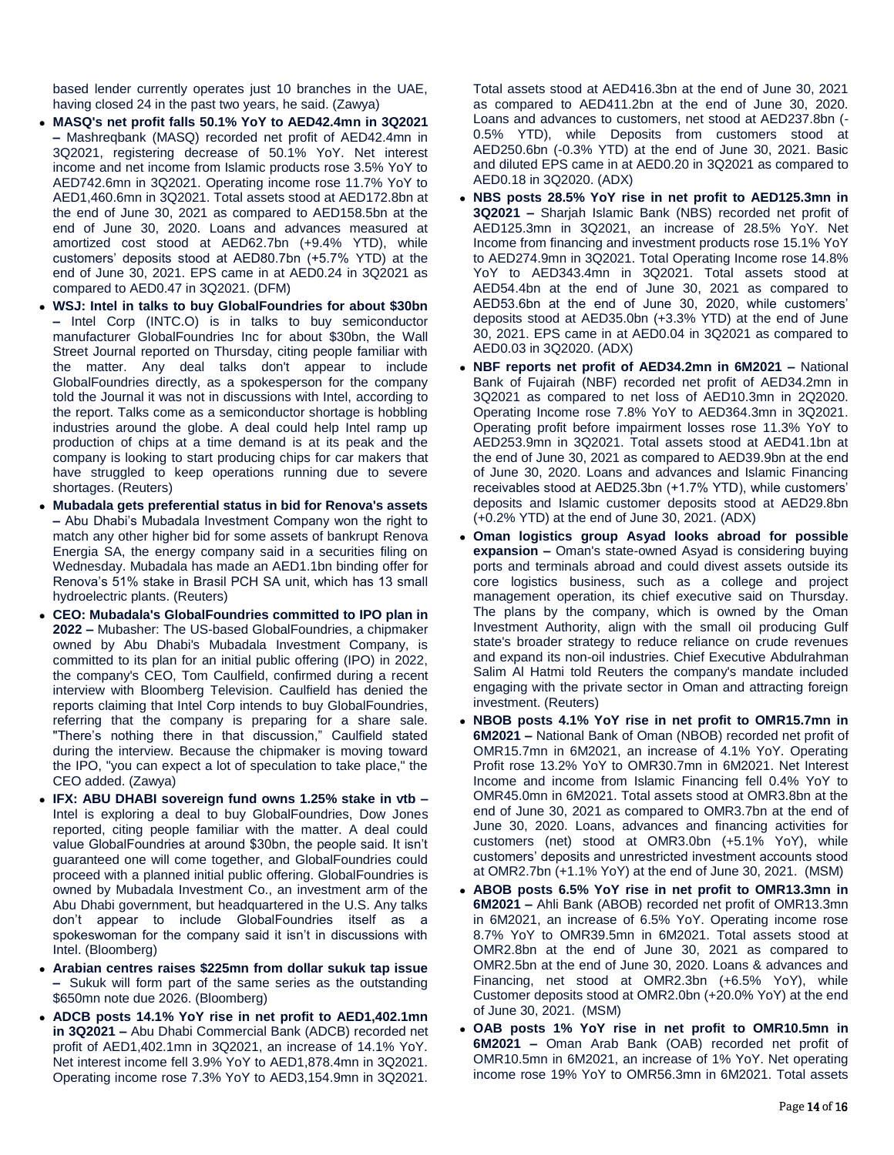based lender currently operates just 10 branches in the UAE, having closed 24 in the past two years, he said. (Zawya)

- **MASQ's net profit falls 50.1% YoY to AED42.4mn in 3Q2021 –** Mashreqbank (MASQ) recorded net profit of AED42.4mn in 3Q2021, registering decrease of 50.1% YoY. Net interest income and net income from Islamic products rose 3.5% YoY to AED742.6mn in 3Q2021. Operating income rose 11.7% YoY to AED1,460.6mn in 3Q2021. Total assets stood at AED172.8bn at the end of June 30, 2021 as compared to AED158.5bn at the end of June 30, 2020. Loans and advances measured at amortized cost stood at AED62.7bn (+9.4% YTD), while customers' deposits stood at AED80.7bn (+5.7% YTD) at the end of June 30, 2021. EPS came in at AED0.24 in 3Q2021 as compared to AED0.47 in 3Q2021. (DFM)
- **WSJ: Intel in talks to buy GlobalFoundries for about \$30bn –** Intel Corp (INTC.O) is in talks to buy semiconductor manufacturer GlobalFoundries Inc for about \$30bn, the Wall Street Journal reported on Thursday, citing people familiar with the matter. Any deal talks don't appear to include GlobalFoundries directly, as a spokesperson for the company told the Journal it was not in discussions with Intel, according to the report. Talks come as a semiconductor shortage is hobbling industries around the globe. A deal could help Intel ramp up production of chips at a time demand is at its peak and the company is looking to start producing chips for car makers that have struggled to keep operations running due to severe shortages. (Reuters)
- **Mubadala gets preferential status in bid for Renova's assets –** Abu Dhabi's Mubadala Investment Company won the right to match any other higher bid for some assets of bankrupt Renova Energia SA, the energy company said in a securities filing on Wednesday. Mubadala has made an AED1.1bn binding offer for Renova's 51% stake in Brasil PCH SA unit, which has 13 small hydroelectric plants. (Reuters)
- **CEO: Mubadala's GlobalFoundries committed to IPO plan in 2022 –** Mubasher: The US-based GlobalFoundries, a chipmaker owned by Abu Dhabi's Mubadala Investment Company, is committed to its plan for an initial public offering (IPO) in 2022, the company's CEO, Tom Caulfield, confirmed during a recent interview with Bloomberg Television. Caulfield has denied the reports claiming that Intel Corp intends to buy GlobalFoundries, referring that the company is preparing for a share sale. "There's nothing there in that discussion," Caulfield stated during the interview. Because the chipmaker is moving toward the IPO, "you can expect a lot of speculation to take place," the CEO added. (Zawya)
- **IFX: ABU DHABI sovereign fund owns 1.25% stake in vtb –** Intel is exploring a deal to buy GlobalFoundries, Dow Jones reported, citing people familiar with the matter. A deal could value GlobalFoundries at around \$30bn, the people said. It isn't guaranteed one will come together, and GlobalFoundries could proceed with a planned initial public offering. GlobalFoundries is owned by Mubadala Investment Co., an investment arm of the Abu Dhabi government, but headquartered in the U.S. Any talks don't appear to include GlobalFoundries itself as a spokeswoman for the company said it isn't in discussions with Intel. (Bloomberg)
- **Arabian centres raises \$225mn from dollar sukuk tap issue –** Sukuk will form part of the same series as the outstanding \$650mn note due 2026. (Bloomberg)
- **ADCB posts 14.1% YoY rise in net profit to AED1,402.1mn in 3Q2021 –** Abu Dhabi Commercial Bank (ADCB) recorded net profit of AED1,402.1mn in 3Q2021, an increase of 14.1% YoY. Net interest income fell 3.9% YoY to AED1,878.4mn in 3Q2021. Operating income rose 7.3% YoY to AED3,154.9mn in 3Q2021.

Total assets stood at AED416.3bn at the end of June 30, 2021 as compared to AED411.2bn at the end of June 30, 2020. Loans and advances to customers, net stood at AED237.8bn (- 0.5% YTD), while Deposits from customers stood at AED250.6bn (-0.3% YTD) at the end of June 30, 2021. Basic and diluted EPS came in at AED0.20 in 3Q2021 as compared to AED0.18 in 3Q2020. (ADX)

- **NBS posts 28.5% YoY rise in net profit to AED125.3mn in 3Q2021 –** Sharjah Islamic Bank (NBS) recorded net profit of AED125.3mn in 3Q2021, an increase of 28.5% YoY. Net Income from financing and investment products rose 15.1% YoY to AED274.9mn in 3Q2021. Total Operating Income rose 14.8% YoY to AED343.4mn in 3Q2021. Total assets stood at AED54.4bn at the end of June 30, 2021 as compared to AED53.6bn at the end of June 30, 2020, while customers' deposits stood at AED35.0bn (+3.3% YTD) at the end of June 30, 2021. EPS came in at AED0.04 in 3Q2021 as compared to AED0.03 in 3Q2020. (ADX)
- **NBF reports net profit of AED34.2mn in 6M2021 –** National Bank of Fujairah (NBF) recorded net profit of AED34.2mn in 3Q2021 as compared to net loss of AED10.3mn in 2Q2020. Operating Income rose 7.8% YoY to AED364.3mn in 3Q2021. Operating profit before impairment losses rose 11.3% YoY to AED253.9mn in 3Q2021. Total assets stood at AED41.1bn at the end of June 30, 2021 as compared to AED39.9bn at the end of June 30, 2020. Loans and advances and Islamic Financing receivables stood at AED25.3bn (+1.7% YTD), while customers' deposits and Islamic customer deposits stood at AED29.8bn (+0.2% YTD) at the end of June 30, 2021. (ADX)
- **Oman logistics group Asyad looks abroad for possible expansion –** Oman's state-owned Asyad is considering buying ports and terminals abroad and could divest assets outside its core logistics business, such as a college and project management operation, its chief executive said on Thursday. The plans by the company, which is owned by the Oman Investment Authority, align with the small oil producing Gulf state's broader strategy to reduce reliance on crude revenues and expand its non-oil industries. Chief Executive Abdulrahman Salim Al Hatmi told Reuters the company's mandate included engaging with the private sector in Oman and attracting foreign investment. (Reuters)
- **NBOB posts 4.1% YoY rise in net profit to OMR15.7mn in 6M2021 –** National Bank of Oman (NBOB) recorded net profit of OMR15.7mn in 6M2021, an increase of 4.1% YoY. Operating Profit rose 13.2% YoY to OMR30.7mn in 6M2021. Net Interest Income and income from Islamic Financing fell 0.4% YoY to OMR45.0mn in 6M2021. Total assets stood at OMR3.8bn at the end of June 30, 2021 as compared to OMR3.7bn at the end of June 30, 2020. Loans, advances and financing activities for customers (net) stood at OMR3.0bn (+5.1% YoY), while customers' deposits and unrestricted investment accounts stood at OMR2.7bn (+1.1% YoY) at the end of June 30, 2021. (MSM)
- **ABOB posts 6.5% YoY rise in net profit to OMR13.3mn in 6M2021 –** Ahli Bank (ABOB) recorded net profit of OMR13.3mn in 6M2021, an increase of 6.5% YoY. Operating income rose 8.7% YoY to OMR39.5mn in 6M2021. Total assets stood at OMR2.8bn at the end of June 30, 2021 as compared to OMR2.5bn at the end of June 30, 2020. Loans & advances and Financing, net stood at OMR2.3bn (+6.5% YoY), while Customer deposits stood at OMR2.0bn (+20.0% YoY) at the end of June 30, 2021. (MSM)
- **OAB posts 1% YoY rise in net profit to OMR10.5mn in 6M2021 –** Oman Arab Bank (OAB) recorded net profit of OMR10.5mn in 6M2021, an increase of 1% YoY. Net operating income rose 19% YoY to OMR56.3mn in 6M2021. Total assets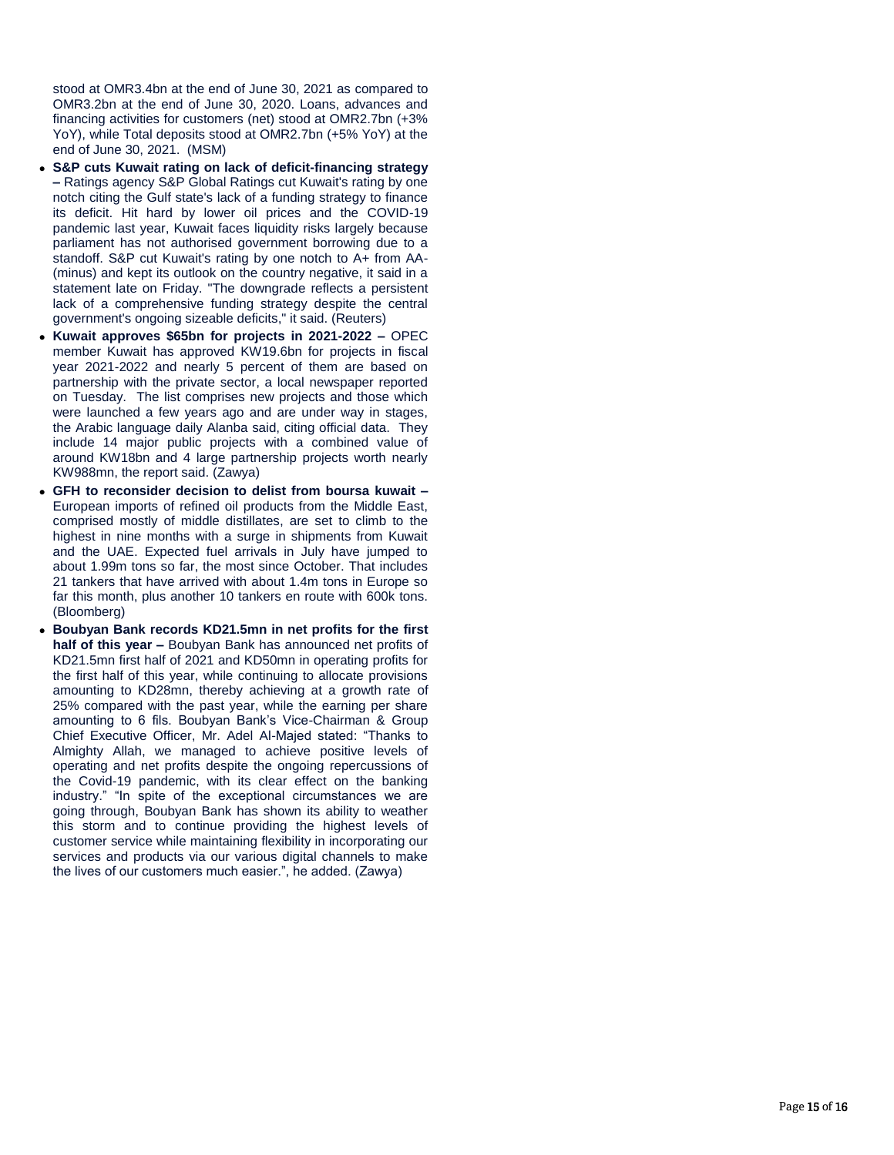stood at OMR3.4bn at the end of June 30, 2021 as compared to OMR3.2bn at the end of June 30, 2020. Loans, advances and financing activities for customers (net) stood at OMR2.7bn (+3% YoY), while Total deposits stood at OMR2.7bn (+5% YoY) at the end of June 30, 2021. (MSM)

- **S&P cuts Kuwait rating on lack of deficit -financing strategy –** Ratings agency S&P Global Ratings cut Kuwait's rating by one notch citing the Gulf state's lack of a funding strategy to finance its deficit. Hit hard by lower oil prices and the COVID -19 pandemic last year, Kuwait faces liquidity risks largely because parliament has not authorised government borrowing due to a standoff. S&P cut Kuwait's rating by one notch to A+ from AA-(minus) and kept its outlook on the country negative, it said in a statement late on Friday. "The downgrade reflects a persistent lack of a comprehensive funding strategy despite the central government's ongoing sizeable deficits," it said. (Reuters)
- **Kuwait approves \$65bn for projects in 2021 -2022 –** OPEC member Kuwait has approved KW19.6bn for projects in fiscal year 2021 -2022 and nearly 5 percent of them are based on partnership with the private sector, a local newspaper reported on Tuesday. The list comprises new projects and those which were launched a few years ago and are under way in stages, the Arabic language daily Alanba said, citing official data. They include 14 major public projects with a combined value of around KW18bn and 4 large partnership projects worth nearly KW988mn, the report said. (Zawya)
- **GFH to reconsider decision to delist from boursa kuwait –** European imports of refined oil products from the Middle East, comprised mostly of middle distillates, are set to climb to the highest in nine months with a surge in shipments from Kuwait and the UAE. Expected fuel arrivals in July have jumped to about 1.99m tons so far, the most since October. That includes 21 tankers that have arrived with about 1.4m tons in Europe so far this month, plus another 10 tankers en route with 600k tons. (Bloomberg)
- **Boubyan Bank records KD21.5mn in net profits for the first half of this year –** Boubyan Bank has announced net profits of KD21.5mn first half of 2021 and KD50mn in operating profits for the first half of this year, while continuing to allocate provisions amounting to KD28mn, thereby achieving at a growth rate of 25% compared with the past year, while the earning per share amounting to 6 fils. Boubyan Bank's Vice -Chairman & Group Chief Executive Officer, Mr. Adel Al -Majed stated: "Thanks to Almighty Allah, we managed to achieve positive levels of operating and net profits despite the ongoing repercussions of the Covid -19 pandemic, with its clear effect on the banking industry." "In spite of the exceptional circumstances we are going through, Boubyan Bank has shown its ability to weather this storm and to continue providing the highest levels of customer service while maintaining flexibility in incorporating our services and products via our various digital channels to make the lives of our customers much easier.", he added. (Zawya)